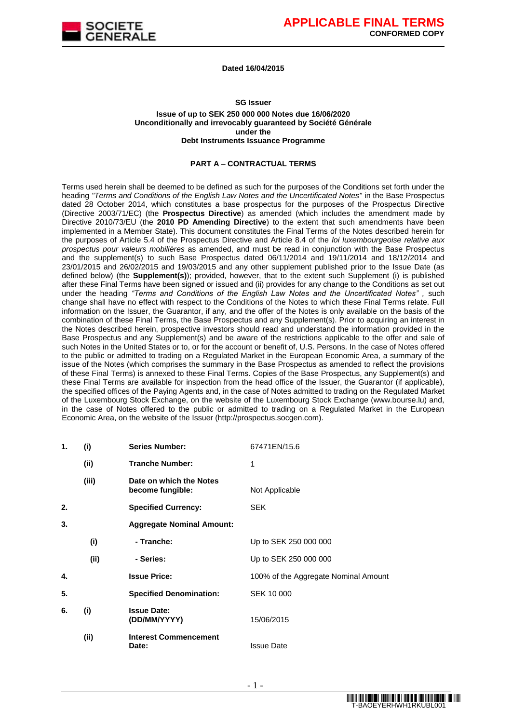

#### **Dated 16/04/2015**

### **SG Issuer Issue of up to SEK 250 000 000 Notes due 16/06/2020 Unconditionally and irrevocably guaranteed by Société Générale under the Debt Instruments Issuance Programme**

#### **PART A – CONTRACTUAL TERMS**

Terms used herein shall be deemed to be defined as such for the purposes of the Conditions set forth under the heading *"Terms and Conditions of the English Law Notes and the Uncertificated Notes"* in the Base Prospectus dated 28 October 2014, which constitutes a base prospectus for the purposes of the Prospectus Directive (Directive 2003/71/EC) (the **Prospectus Directive**) as amended (which includes the amendment made by Directive 2010/73/EU (the **2010 PD Amending Directive**) to the extent that such amendments have been implemented in a Member State). This document constitutes the Final Terms of the Notes described herein for the purposes of Article 5.4 of the Prospectus Directive and Article 8.4 of the *loi luxembourgeoise relative aux prospectus pour valeurs mobilières* as amended, and must be read in conjunction with the Base Prospectus and the supplement(s) to such Base Prospectus dated 06/11/2014 and 19/11/2014 and 18/12/2014 and 23/01/2015 and 26/02/2015 and 19/03/2015 and any other supplement published prior to the Issue Date (as defined below) (the **Supplement(s)**); provided, however, that to the extent such Supplement (i) is published after these Final Terms have been signed or issued and (ii) provides for any change to the Conditions as set out under the heading *"Terms and Conditions of the English Law Notes and the Uncertificated Notes" ,* such change shall have no effect with respect to the Conditions of the Notes to which these Final Terms relate. Full information on the Issuer, the Guarantor, if any, and the offer of the Notes is only available on the basis of the combination of these Final Terms, the Base Prospectus and any Supplement(s). Prior to acquiring an interest in the Notes described herein, prospective investors should read and understand the information provided in the Base Prospectus and any Supplement(s) and be aware of the restrictions applicable to the offer and sale of such Notes in the United States or to, or for the account or benefit of, U.S. Persons. In the case of Notes offered to the public or admitted to trading on a Regulated Market in the European Economic Area, a summary of the issue of the Notes (which comprises the summary in the Base Prospectus as amended to reflect the provisions of these Final Terms) is annexed to these Final Terms. Copies of the Base Prospectus, any Supplement(s) and these Final Terms are available for inspection from the head office of the Issuer, the Guarantor (if applicable), the specified offices of the Paying Agents and, in the case of Notes admitted to trading on the Regulated Market of the Luxembourg Stock Exchange, on the website of the Luxembourg Stock Exchange (www.bourse.lu) and, in the case of Notes offered to the public or admitted to trading on a Regulated Market in the European Economic Area, on the website of the Issuer (http://prospectus.socgen.com).

| 1. | (i)   | <b>Series Number:</b>                       | 67471EN/15.6                         |
|----|-------|---------------------------------------------|--------------------------------------|
|    | (ii)  | <b>Tranche Number:</b>                      | 1                                    |
|    | (iii) | Date on which the Notes<br>become fungible: | Not Applicable                       |
| 2. |       | <b>Specified Currency:</b>                  | <b>SEK</b>                           |
| 3. |       | <b>Aggregate Nominal Amount:</b>            |                                      |
|    | (i)   | - Tranche:                                  | Up to SEK 250 000 000                |
|    | (ii)  | - Series:                                   | Up to SEK 250 000 000                |
| 4. |       | <b>Issue Price:</b>                         | 100% of the Aggregate Nominal Amount |
| 5. |       | <b>Specified Denomination:</b>              | <b>SEK 10 000</b>                    |
| 6. | (i)   | <b>Issue Date:</b><br>(DD/MM/YYYY)          | 15/06/2015                           |
|    | (ii)  | <b>Interest Commencement</b><br>Date:       | <b>Issue Date</b>                    |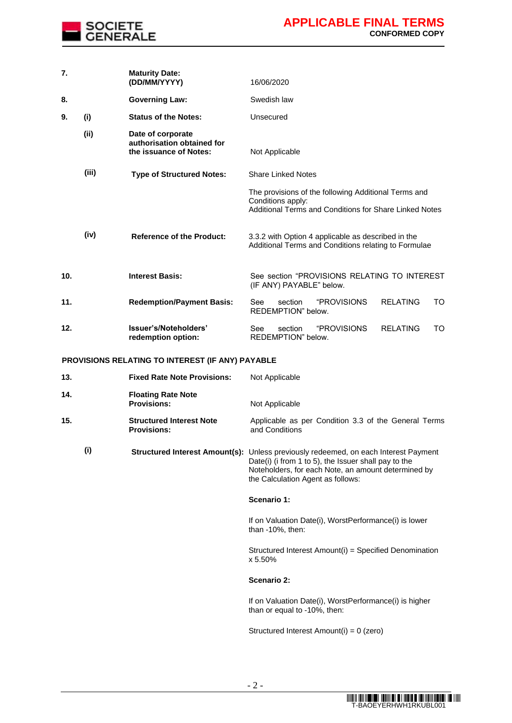

| 7.  |       | <b>Maturity Date:</b><br>(DD/MM/YYYY)                                     | 16/06/2020                                                                                                                          |
|-----|-------|---------------------------------------------------------------------------|-------------------------------------------------------------------------------------------------------------------------------------|
| 8.  |       | <b>Governing Law:</b>                                                     | Swedish law                                                                                                                         |
| 9.  | (i)   | <b>Status of the Notes:</b>                                               | Unsecured                                                                                                                           |
|     | (ii)  | Date of corporate<br>authorisation obtained for<br>the issuance of Notes: | Not Applicable                                                                                                                      |
|     | (iii) | <b>Type of Structured Notes:</b>                                          | Share Linked Notes                                                                                                                  |
|     |       |                                                                           | The provisions of the following Additional Terms and<br>Conditions apply:<br>Additional Terms and Conditions for Share Linked Notes |
|     | (iv)  | <b>Reference of the Product:</b>                                          | 3.3.2 with Option 4 applicable as described in the<br>Additional Terms and Conditions relating to Formulae                          |
| 10. |       | <b>Interest Basis:</b>                                                    | See section "PROVISIONS RELATING TO INTEREST<br>(IF ANY) PAYABLE" below.                                                            |
| 11. |       | <b>Redemption/Payment Basis:</b>                                          | <i><b>"PROVISIONS</b></i><br><b>RELATING</b><br>section<br>TO.<br>See<br>REDEMPTION" below.                                         |
| 12. |       | Issuer's/Noteholders'<br>redemption option:                               | <i><b>"PROVISIONS</b></i><br><b>RELATING</b><br>TO<br>See<br>section<br>REDEMPTION" below.                                          |

## **PROVISIONS RELATING TO INTEREST (IF ANY) PAYABLE**

| 13. | <b>Fixed Rate Note Provisions:</b>                    | Not Applicable                                                                                                                                                                                           |
|-----|-------------------------------------------------------|----------------------------------------------------------------------------------------------------------------------------------------------------------------------------------------------------------|
| 14. | <b>Floating Rate Note</b><br><b>Provisions:</b>       | Not Applicable                                                                                                                                                                                           |
| 15. | <b>Structured Interest Note</b><br><b>Provisions:</b> | Applicable as per Condition 3.3 of the General Terms<br>and Conditions                                                                                                                                   |
| (i) | <b>Structured Interest Amount(s):</b>                 | Unless previously redeemed, on each Interest Payment<br>Date(i) (i from 1 to 5), the Issuer shall pay to the<br>Noteholders, for each Note, an amount determined by<br>the Calculation Agent as follows: |
|     |                                                       | Scenario 1:                                                                                                                                                                                              |
|     |                                                       | If on Valuation Date(i), WorstPerformance(i) is lower<br>than $-10\%$ , then:                                                                                                                            |
|     |                                                       | Structured Interest Amount(i) = Specified Denomination<br>x 5.50%                                                                                                                                        |
|     |                                                       | Scenario 2:                                                                                                                                                                                              |
|     |                                                       | If on Valuation Date(i), WorstPerformance(i) is higher<br>than or equal to -10%, then:                                                                                                                   |
|     |                                                       | Structured Interest Amount(i) = 0 (zero)                                                                                                                                                                 |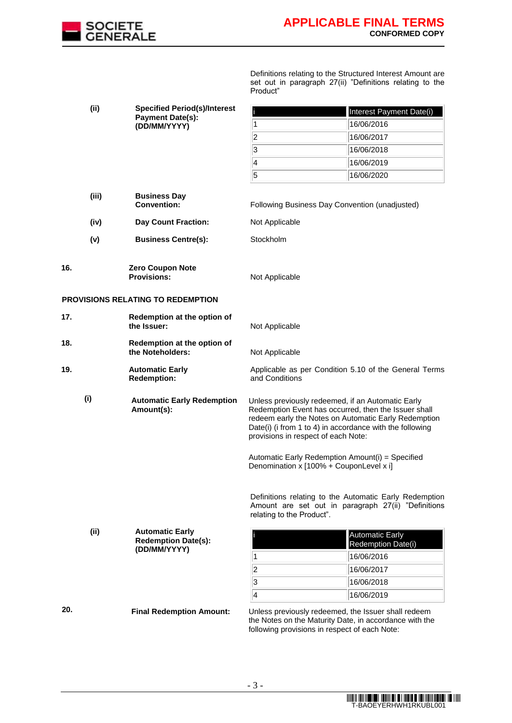

Definitions relating to the Structured Interest Amount are set out in paragraph 27(ii) "Definitions relating to the Product"

|     | (i)   | <b>Specified Period(s)/Interest</b>                  |                                                                                                                                                                                                                                                                      | Interest Payment Date(i)                                                                                      |
|-----|-------|------------------------------------------------------|----------------------------------------------------------------------------------------------------------------------------------------------------------------------------------------------------------------------------------------------------------------------|---------------------------------------------------------------------------------------------------------------|
|     |       | <b>Payment Date(s):</b><br>(DD/MM/YYYY)              | 1                                                                                                                                                                                                                                                                    | 16/06/2016                                                                                                    |
|     |       |                                                      | $\vert$ 2                                                                                                                                                                                                                                                            | 16/06/2017                                                                                                    |
|     |       |                                                      | 3                                                                                                                                                                                                                                                                    | 16/06/2018                                                                                                    |
|     |       |                                                      | 4                                                                                                                                                                                                                                                                    | 16/06/2019                                                                                                    |
|     |       |                                                      | $\overline{5}$                                                                                                                                                                                                                                                       | 16/06/2020                                                                                                    |
|     | (iii) | <b>Business Day</b><br><b>Convention:</b>            | Following Business Day Convention (unadjusted)                                                                                                                                                                                                                       |                                                                                                               |
|     | (iv)  | <b>Day Count Fraction:</b>                           | Not Applicable                                                                                                                                                                                                                                                       |                                                                                                               |
|     | (v)   | <b>Business Centre(s):</b>                           | Stockholm                                                                                                                                                                                                                                                            |                                                                                                               |
| 16. |       | <b>Zero Coupon Note</b><br><b>Provisions:</b>        | Not Applicable                                                                                                                                                                                                                                                       |                                                                                                               |
|     |       | PROVISIONS RELATING TO REDEMPTION                    |                                                                                                                                                                                                                                                                      |                                                                                                               |
| 17. |       | Redemption at the option of<br>the Issuer:           | Not Applicable                                                                                                                                                                                                                                                       |                                                                                                               |
| 18. |       | Redemption at the option of<br>the Noteholders:      | Not Applicable                                                                                                                                                                                                                                                       |                                                                                                               |
| 19. |       | <b>Automatic Early</b><br><b>Redemption:</b>         | and Conditions                                                                                                                                                                                                                                                       | Applicable as per Condition 5.10 of the General Terms                                                         |
| (i) |       | <b>Automatic Early Redemption</b><br>Amount(s):      | Unless previously redeemed, if an Automatic Early<br>Redemption Event has occurred, then the Issuer shall<br>redeem early the Notes on Automatic Early Redemption<br>Date(i) (i from 1 to 4) in accordance with the following<br>provisions in respect of each Note: |                                                                                                               |
|     |       |                                                      | Automatic Early Redemption Amount(i) = Specified<br>Denomination x [100% + CouponLevel x i]                                                                                                                                                                          |                                                                                                               |
|     |       |                                                      | relating to the Product".                                                                                                                                                                                                                                            | Definitions relating to the Automatic Early Redemption<br>Amount are set out in paragraph 27(ii) "Definitions |
|     | (ii)  | <b>Automatic Early</b><br><b>Redemption Date(s):</b> |                                                                                                                                                                                                                                                                      | Automatic Early<br>Redemption Date(i)                                                                         |
|     |       | (DD/MM/YYYY)                                         | 1                                                                                                                                                                                                                                                                    | 16/06/2016                                                                                                    |
|     |       |                                                      | $\overline{\mathbf{2}}$                                                                                                                                                                                                                                              | 16/06/2017                                                                                                    |
|     |       |                                                      | 3                                                                                                                                                                                                                                                                    | 16/06/2018                                                                                                    |
|     |       |                                                      | $\overline{4}$                                                                                                                                                                                                                                                       | 16/06/2019                                                                                                    |
| 20. |       | <b>Final Redemption Amount:</b>                      | Unless previously redeemed, the Issuer shall redeem<br>the Notes on the Maturity Date, in accordance with the<br>following provisions in respect of each Note:                                                                                                       |                                                                                                               |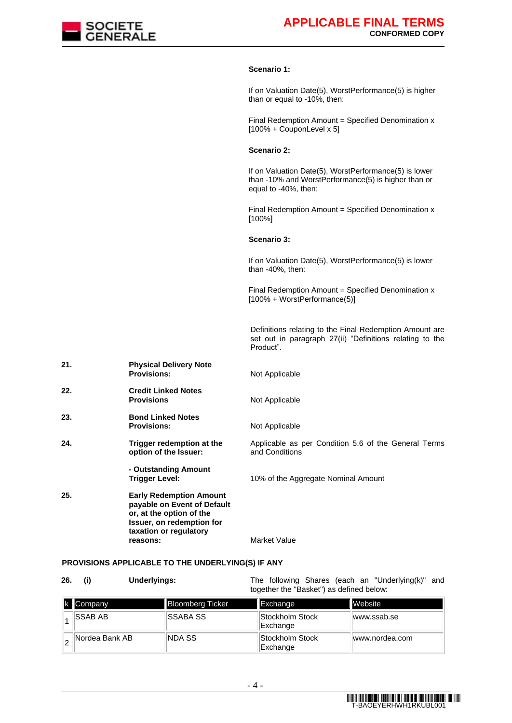

### **Scenario 1:**

If on Valuation Date(5), WorstPerformance(5) is higher than or equal to -10%, then:

Final Redemption Amount = Specified Denomination x  $[100\% + \text{CouponLevel} \times 5]$ 

#### **Scenario 2:**

If on Valuation Date(5), WorstPerformance(5) is lower than -10% and WorstPerformance(5) is higher than or equal to -40%, then:

Final Redemption Amount = Specified Denomination x [100%]

### **Scenario 3:**

If on Valuation Date(5), WorstPerformance(5) is lower than -40%, then:

Final Redemption Amount = Specified Denomination  $x$ [100% + WorstPerformance(5)]

Definitions relating to the Final Redemption Amount are set out in paragraph 27(ii) "Definitions relating to the Product".

| 21. | <b>Physical Delivery Note</b><br><b>Provisions:</b>                                                                                                          | Not Applicable                                                         |
|-----|--------------------------------------------------------------------------------------------------------------------------------------------------------------|------------------------------------------------------------------------|
| 22. | <b>Credit Linked Notes</b><br><b>Provisions</b>                                                                                                              | Not Applicable                                                         |
| 23. | <b>Bond Linked Notes</b><br><b>Provisions:</b>                                                                                                               | Not Applicable                                                         |
| 24. | Trigger redemption at the<br>option of the Issuer:                                                                                                           | Applicable as per Condition 5.6 of the General Terms<br>and Conditions |
|     | - Outstanding Amount<br>Trigger Level:                                                                                                                       | 10% of the Aggregate Nominal Amount                                    |
| 25. | <b>Early Redemption Amount</b><br>payable on Event of Default<br>or, at the option of the<br>Issuer, on redemption for<br>taxation or regulatory<br>reasons: | Market Value                                                           |

## **PROVISIONS APPLICABLE TO THE UNDERLYING(S) IF ANY**

| 26. | <b>Underlyings:</b> | The following Shares (each an "Underlying(k)" and<br>together the "Basket") as defined below: |  |
|-----|---------------------|-----------------------------------------------------------------------------------------------|--|
|     |                     |                                                                                               |  |

| k Company       | <b>Bloomberg Ticker</b> | Exchange                    | <b>Website</b> |
|-----------------|-------------------------|-----------------------------|----------------|
| <b>ISSAB AB</b> | <b>ISSABA SS</b>        | Stockholm Stock<br>Exchange | lwww.ssab.se   |
| Nordea Bank AB  | NDA SS                  | Stockholm Stock<br>Exchange | www.nordea.com |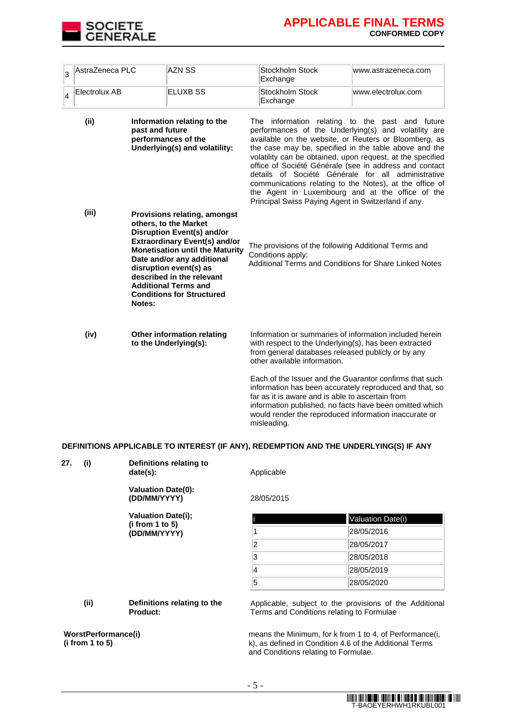

| 3 | AstraZeneca PLC                                                                                                |        | <b>AZN SS</b>                                                                                                                                                                                                                                                                                                                               | Stockholm Stock<br>Exchange                                                                                                                                                                                                                                                                                                                                                                                                                                                            | www.astrazeneca.com                                                                                                                                                           |
|---|----------------------------------------------------------------------------------------------------------------|--------|---------------------------------------------------------------------------------------------------------------------------------------------------------------------------------------------------------------------------------------------------------------------------------------------------------------------------------------------|----------------------------------------------------------------------------------------------------------------------------------------------------------------------------------------------------------------------------------------------------------------------------------------------------------------------------------------------------------------------------------------------------------------------------------------------------------------------------------------|-------------------------------------------------------------------------------------------------------------------------------------------------------------------------------|
| 4 | Electrolux AB                                                                                                  |        | <b>ELUXB SS</b>                                                                                                                                                                                                                                                                                                                             | Stockholm Stock<br>Exchange                                                                                                                                                                                                                                                                                                                                                                                                                                                            | www.electrolux.com                                                                                                                                                            |
|   | (ii)<br>Information relating to the<br>past and future<br>performances of the<br>Underlying(s) and volatility: |        | The information relating to the<br>Principal Swiss Paying Agent in Switzerland if any.                                                                                                                                                                                                                                                      | past and future<br>performances of the Underlying(s) and volatility are<br>available on the website, or Reuters or Bloomberg, as<br>the case may be, specified in the table above and the<br>volatility can be obtained, upon request, at the specified<br>office of Société Générale (see in address and contact<br>details of Société Générale for all administrative<br>communications relating to the Notes), at the office of<br>the Agent in Luxembourg and at the office of the |                                                                                                                                                                               |
|   | (iii)                                                                                                          | Notes: | <b>Provisions relating, amongst</b><br>others, to the Market<br><b>Disruption Event(s) and/or</b><br><b>Extraordinary Event(s) and/or</b><br><b>Monetisation until the Maturity</b><br>Date and/or any additional<br>disruption event(s) as<br>described in the relevant<br><b>Additional Terms and</b><br><b>Conditions for Structured</b> | The provisions of the following Additional Terms and<br>Conditions apply:                                                                                                                                                                                                                                                                                                                                                                                                              | Additional Terms and Conditions for Share Linked Notes                                                                                                                        |
|   | (iv)                                                                                                           |        | Other information relating<br>to the Underlying(s):                                                                                                                                                                                                                                                                                         | with respect to the Underlying(s), has been extracted<br>from general databases released publicly or by any<br>other available information.                                                                                                                                                                                                                                                                                                                                            | Information or summaries of information included herein                                                                                                                       |
|   |                                                                                                                |        |                                                                                                                                                                                                                                                                                                                                             | far as it is aware and is able to ascertain from<br>would render the reproduced information inaccurate or<br>misleading.                                                                                                                                                                                                                                                                                                                                                               | Each of the Issuer and the Guarantor confirms that such<br>information has been accurately reproduced and that, so<br>information published, no facts have been omitted which |

## **DEFINITIONS APPLICABLE TO INTEREST (IF ANY), REDEMPTION AND THE UNDERLYING(S) IF ANY**

| 27.                                    | (i)  | Definitions relating to<br>date(s):                                                                       | Applicable<br>28/05/2015                                                                                                                                   |                   |  |
|----------------------------------------|------|-----------------------------------------------------------------------------------------------------------|------------------------------------------------------------------------------------------------------------------------------------------------------------|-------------------|--|
|                                        |      | <b>Valuation Date(0):</b><br>(DD/MM/YYYY)<br><b>Valuation Date(i);</b><br>(i from 1 to 5)<br>(DD/MM/YYYY) |                                                                                                                                                            |                   |  |
|                                        |      |                                                                                                           |                                                                                                                                                            | Valuation Date(i) |  |
|                                        |      |                                                                                                           |                                                                                                                                                            | 28/05/2016        |  |
|                                        |      |                                                                                                           | 2                                                                                                                                                          | 28/05/2017        |  |
|                                        |      |                                                                                                           | 3                                                                                                                                                          | 28/05/2018        |  |
|                                        |      |                                                                                                           | 4                                                                                                                                                          | 28/05/2019        |  |
|                                        |      |                                                                                                           | 5                                                                                                                                                          | 28/05/2020        |  |
|                                        | (ii) | Definitions relating to the<br><b>Product:</b>                                                            | Applicable, subject to the provisions of the Additional<br>Terms and Conditions relating to Formulae                                                       |                   |  |
| WorstPerformance(i)<br>(i from 1 to 5) |      |                                                                                                           | means the Minimum, for k from 1 to 4, of Performance(i,<br>k), as defined in Condition 4.6 of the Additional Terms<br>and Conditions relating to Formulae. |                   |  |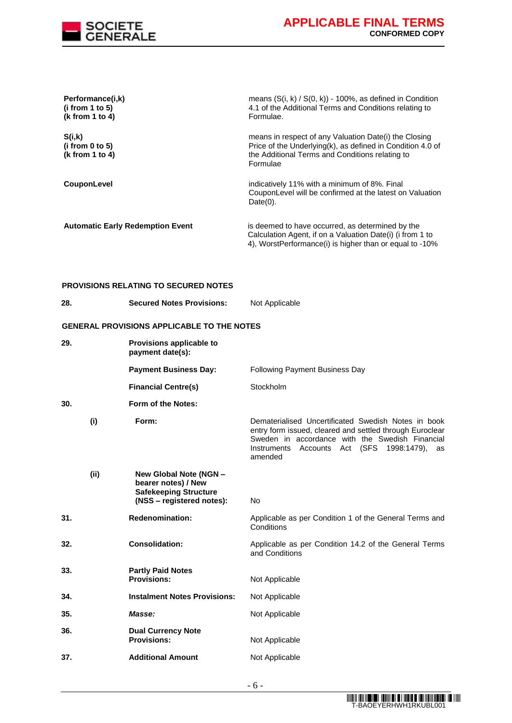

| Performance(i,k)<br>(i from 1 to 5)<br>(k from 1 to 4) |                                                                                                            | means $(S(i, k) / S(0, k))$ - 100%, as defined in Condition<br>4.1 of the Additional Terms and Conditions relating to<br>Formulae.                                                                                                  |
|--------------------------------------------------------|------------------------------------------------------------------------------------------------------------|-------------------------------------------------------------------------------------------------------------------------------------------------------------------------------------------------------------------------------------|
| S(i,k)<br>(i from 0 to 5)<br>(k from 1 to 4)           |                                                                                                            | means in respect of any Valuation Date(i) the Closing<br>Price of the Underlying(k), as defined in Condition 4.0 of<br>the Additional Terms and Conditions relating to<br>Formulae                                                  |
| CouponLevel                                            |                                                                                                            | indicatively 11% with a minimum of 8%. Final<br>CouponLevel will be confirmed at the latest on Valuation<br>$Date(0)$ .                                                                                                             |
|                                                        | <b>Automatic Early Redemption Event</b>                                                                    | is deemed to have occurred, as determined by the<br>Calculation Agent, if on a Valuation Date(i) (i from 1 to<br>4), WorstPerformance(i) is higher than or equal to -10%                                                            |
|                                                        | <b>PROVISIONS RELATING TO SECURED NOTES</b>                                                                |                                                                                                                                                                                                                                     |
| 28.                                                    | <b>Secured Notes Provisions:</b>                                                                           | Not Applicable                                                                                                                                                                                                                      |
|                                                        | GENERAL PROVISIONS APPLICABLE TO THE NOTES                                                                 |                                                                                                                                                                                                                                     |
| 29.                                                    | Provisions applicable to<br>payment date(s):                                                               |                                                                                                                                                                                                                                     |
|                                                        | <b>Payment Business Day:</b>                                                                               | Following Payment Business Day                                                                                                                                                                                                      |
|                                                        | <b>Financial Centre(s)</b>                                                                                 | Stockholm                                                                                                                                                                                                                           |
| 30.                                                    | Form of the Notes:                                                                                         |                                                                                                                                                                                                                                     |
| (i)                                                    | Form:                                                                                                      | Dematerialised Uncertificated Swedish Notes in book<br>entry form issued, cleared and settled through Euroclear<br>Sweden in accordance with the Swedish Financial<br>Accounts Act (SFS 1998:1479),<br>Instruments<br>as<br>amended |
| (ii)                                                   | New Global Note (NGN -<br>bearer notes) / New<br><b>Safekeeping Structure</b><br>(NSS – registered notes): | No                                                                                                                                                                                                                                  |
| 31.                                                    | <b>Redenomination:</b>                                                                                     | Applicable as per Condition 1 of the General Terms and<br>Conditions                                                                                                                                                                |
| 32.                                                    | <b>Consolidation:</b>                                                                                      | Applicable as per Condition 14.2 of the General Terms<br>and Conditions                                                                                                                                                             |
| 33.                                                    | <b>Partly Paid Notes</b><br><b>Provisions:</b>                                                             | Not Applicable                                                                                                                                                                                                                      |
| 34.                                                    | <b>Instalment Notes Provisions:</b>                                                                        | Not Applicable                                                                                                                                                                                                                      |
| 35.                                                    | Masse:                                                                                                     | Not Applicable                                                                                                                                                                                                                      |
| 36.                                                    | <b>Dual Currency Note</b><br><b>Provisions:</b>                                                            | Not Applicable                                                                                                                                                                                                                      |
| 37.                                                    | <b>Additional Amount</b>                                                                                   | Not Applicable                                                                                                                                                                                                                      |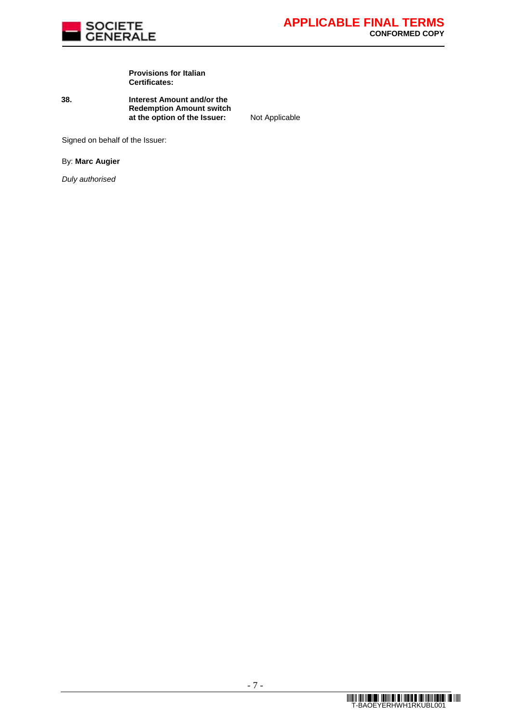

#### **Provisions for Italian Certificates:**

**38. Interest Amount and/or the Redemption Amount switch at the option of the Issuer:** Not Applicable

Signed on behalf of the Issuer:

By: **Marc Augier**

*Duly authorised*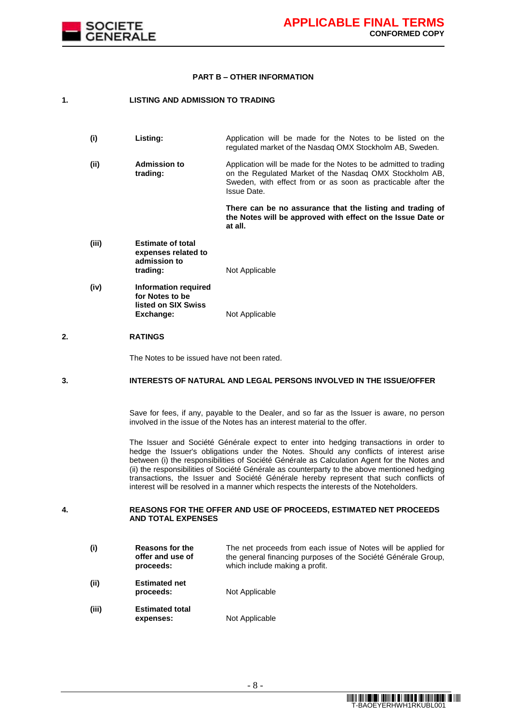

#### **PART B – OTHER INFORMATION**

### **1. LISTING AND ADMISSION TO TRADING**

- **(i) Listing:** Application will be made for the Notes to be listed on the regulated market of the Nasdaq OMX Stockholm AB, Sweden.
- **(ii) Admission to trading:** Application will be made for the Notes to be admitted to trading on the Regulated Market of the Nasdaq OMX Stockholm AB, Sweden, with effect from or as soon as practicable after the Issue Date.

**There can be no assurance that the listing and trading of the Notes will be approved with effect on the Issue Date or at all.**

- **(iii) Estimate of total expenses related to admission to Not Applicable**
- **(iv) Information required for Notes to be listed on SIX Swiss Not Applicable**

### **2. RATINGS**

The Notes to be issued have not been rated.

### **3. INTERESTS OF NATURAL AND LEGAL PERSONS INVOLVED IN THE ISSUE/OFFER**

Save for fees, if any, payable to the Dealer, and so far as the Issuer is aware, no person involved in the issue of the Notes has an interest material to the offer.

The Issuer and Société Générale expect to enter into hedging transactions in order to hedge the Issuer's obligations under the Notes. Should any conflicts of interest arise between (i) the responsibilities of Société Générale as Calculation Agent for the Notes and (ii) the responsibilities of Société Générale as counterparty to the above mentioned hedging transactions, the Issuer and Société Générale hereby represent that such conflicts of interest will be resolved in a manner which respects the interests of the Noteholders.

**4. REASONS FOR THE OFFER AND USE OF PROCEEDS, ESTIMATED NET PROCEEDS AND TOTAL EXPENSES**

**(i) Reasons for the offer and use of proceeds:** The net proceeds from each issue of Notes will be applied for the general financing purposes of the Société Générale Group, which include making a profit. **(ii) Estimated net proceeds:** Not Applicable **(iii) Estimated total Not Applicable**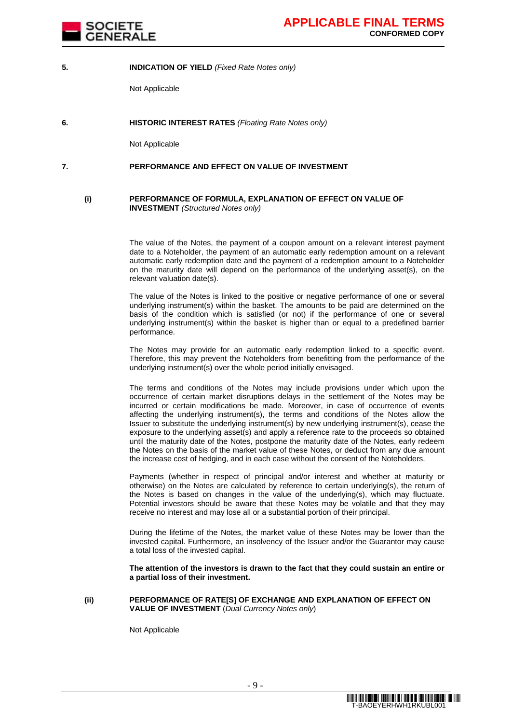

### **5. INDICATION OF YIELD** *(Fixed Rate Notes only)*

Not Applicable

**6. HISTORIC INTEREST RATES** *(Floating Rate Notes only)*

Not Applicable

### **7. PERFORMANCE AND EFFECT ON VALUE OF INVESTMENT**

#### **(i) PERFORMANCE OF FORMULA, EXPLANATION OF EFFECT ON VALUE OF INVESTMENT** *(Structured Notes only)*

The value of the Notes, the payment of a coupon amount on a relevant interest payment date to a Noteholder, the payment of an automatic early redemption amount on a relevant automatic early redemption date and the payment of a redemption amount to a Noteholder on the maturity date will depend on the performance of the underlying asset(s), on the relevant valuation date(s).

The value of the Notes is linked to the positive or negative performance of one or several underlying instrument(s) within the basket. The amounts to be paid are determined on the basis of the condition which is satisfied (or not) if the performance of one or several underlying instrument(s) within the basket is higher than or equal to a predefined barrier performance.

The Notes may provide for an automatic early redemption linked to a specific event. Therefore, this may prevent the Noteholders from benefitting from the performance of the underlying instrument(s) over the whole period initially envisaged.

The terms and conditions of the Notes may include provisions under which upon the occurrence of certain market disruptions delays in the settlement of the Notes may be incurred or certain modifications be made. Moreover, in case of occurrence of events affecting the underlying instrument(s), the terms and conditions of the Notes allow the Issuer to substitute the underlying instrument(s) by new underlying instrument(s), cease the exposure to the underlying asset(s) and apply a reference rate to the proceeds so obtained until the maturity date of the Notes, postpone the maturity date of the Notes, early redeem the Notes on the basis of the market value of these Notes, or deduct from any due amount the increase cost of hedging, and in each case without the consent of the Noteholders.

Payments (whether in respect of principal and/or interest and whether at maturity or otherwise) on the Notes are calculated by reference to certain underlying(s), the return of the Notes is based on changes in the value of the underlying(s), which may fluctuate. Potential investors should be aware that these Notes may be volatile and that they may receive no interest and may lose all or a substantial portion of their principal.

During the lifetime of the Notes, the market value of these Notes may be lower than the invested capital. Furthermore, an insolvency of the Issuer and/or the Guarantor may cause a total loss of the invested capital.

**The attention of the investors is drawn to the fact that they could sustain an entire or a partial loss of their investment.**

#### **(ii) PERFORMANCE OF RATE[S] OF EXCHANGE AND EXPLANATION OF EFFECT ON VALUE OF INVESTMENT** (*Dual Currency Notes only*)

Not Applicable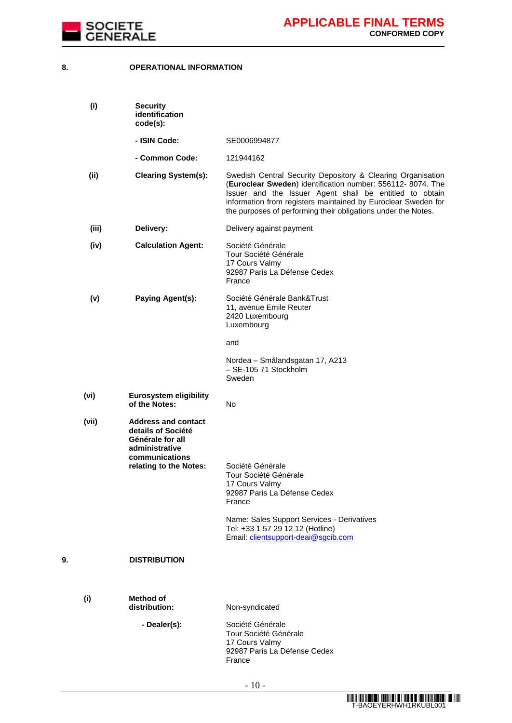

## **8. OPERATIONAL INFORMATION**

|    | (i)   | <b>Security</b><br>identification<br>code(s):                                                                                      |                                                                                                                                                                                                                                                                                                                        |
|----|-------|------------------------------------------------------------------------------------------------------------------------------------|------------------------------------------------------------------------------------------------------------------------------------------------------------------------------------------------------------------------------------------------------------------------------------------------------------------------|
|    |       | - ISIN Code:                                                                                                                       | SE0006994877                                                                                                                                                                                                                                                                                                           |
|    |       | - Common Code:                                                                                                                     | 121944162                                                                                                                                                                                                                                                                                                              |
|    | (ii)  | <b>Clearing System(s):</b>                                                                                                         | Swedish Central Security Depository & Clearing Organisation<br>(Euroclear Sweden) identification number: 556112-8074. The<br>Issuer and the Issuer Agent shall be entitled to obtain<br>information from registers maintained by Euroclear Sweden for<br>the purposes of performing their obligations under the Notes. |
|    | (iii) | Delivery:                                                                                                                          | Delivery against payment                                                                                                                                                                                                                                                                                               |
|    | (iv)  | <b>Calculation Agent:</b>                                                                                                          | Société Générale<br>Tour Société Générale<br>17 Cours Valmy<br>92987 Paris La Défense Cedex<br>France                                                                                                                                                                                                                  |
|    | (v)   | <b>Paying Agent(s):</b>                                                                                                            | Société Générale Bank&Trust<br>11, avenue Emile Reuter<br>2420 Luxembourg<br>Luxembourg                                                                                                                                                                                                                                |
|    |       |                                                                                                                                    | and                                                                                                                                                                                                                                                                                                                    |
|    |       |                                                                                                                                    | Nordea - Smålandsgatan 17, A213<br>- SE-105 71 Stockholm<br>Sweden                                                                                                                                                                                                                                                     |
|    | (vi)  | <b>Eurosystem eligibility</b><br>of the Notes:                                                                                     | No                                                                                                                                                                                                                                                                                                                     |
|    | (vii) | <b>Address and contact</b><br>details of Société<br>Générale for all<br>administrative<br>communications<br>relating to the Notes: | Société Générale<br>Tour Société Générale<br>17 Cours Valmy<br>92987 Paris La Défense Cedex<br>France<br>Name: Sales Support Services - Derivatives<br>Tel: +33 1 57 29 12 12 (Hotline)<br>Email: clientsupport-deai@sgcib.com                                                                                         |
| 9. |       | <b>DISTRIBUTION</b>                                                                                                                |                                                                                                                                                                                                                                                                                                                        |
|    | (i)   | <b>Method of</b><br>distribution:                                                                                                  | Non-syndicated                                                                                                                                                                                                                                                                                                         |
|    |       | - Dealer(s):                                                                                                                       | Société Générale<br>Tour Société Générale<br>17 Cours Valmy<br>92987 Paris La Défense Cedex<br>France                                                                                                                                                                                                                  |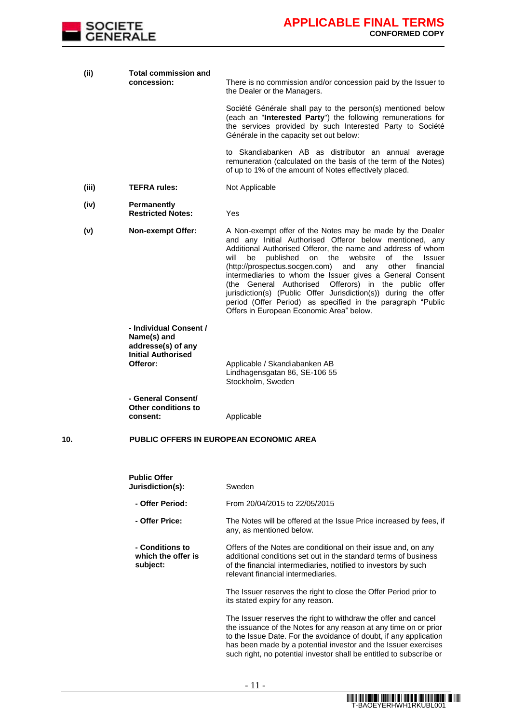

| (ii)  | Total commission and<br>concession:                                                                  | There is no commission and/or concession paid by the Issuer to<br>the Dealer or the Managers.                                                                                                                                                                                                                                                                                                                                                                                                                                                                                                                                                     |
|-------|------------------------------------------------------------------------------------------------------|---------------------------------------------------------------------------------------------------------------------------------------------------------------------------------------------------------------------------------------------------------------------------------------------------------------------------------------------------------------------------------------------------------------------------------------------------------------------------------------------------------------------------------------------------------------------------------------------------------------------------------------------------|
|       |                                                                                                      | Société Générale shall pay to the person(s) mentioned below<br>(each an "Interested Party") the following remunerations for<br>the services provided by such Interested Party to Société<br>Générale in the capacity set out below:                                                                                                                                                                                                                                                                                                                                                                                                               |
|       |                                                                                                      | to Skandiabanken AB as distributor an annual average<br>remuneration (calculated on the basis of the term of the Notes)<br>of up to 1% of the amount of Notes effectively placed.                                                                                                                                                                                                                                                                                                                                                                                                                                                                 |
| (iii) | <b>TEFRA rules:</b>                                                                                  | Not Applicable                                                                                                                                                                                                                                                                                                                                                                                                                                                                                                                                                                                                                                    |
| (iv)  | <b>Permanently</b><br><b>Restricted Notes:</b>                                                       | Yes                                                                                                                                                                                                                                                                                                                                                                                                                                                                                                                                                                                                                                               |
| (v)   | <b>Non-exempt Offer:</b>                                                                             | A Non-exempt offer of the Notes may be made by the Dealer<br>and any Initial Authorised Offeror below mentioned, any<br>Additional Authorised Offeror, the name and address of whom<br>the<br>published<br>on<br>website<br>of<br>the<br>will<br>be<br><b>Issuer</b><br>(http://prospectus.socgen.com)<br>and<br>other<br>financial<br>any<br>intermediaries to whom the Issuer gives a General Consent<br>(the General Authorised<br>Offerors) in the public offer<br>jurisdiction(s) (Public Offer Jurisdiction(s)) during the offer<br>period (Offer Period) as specified in the paragraph "Public<br>Offers in European Economic Area" below. |
|       | - Individual Consent /<br>Name(s) and<br>addresse(s) of any<br><b>Initial Authorised</b><br>Offeror: | Applicable / Skandiabanken AB<br>Lindhagensgatan 86, SE-106 55<br>Stockholm, Sweden                                                                                                                                                                                                                                                                                                                                                                                                                                                                                                                                                               |
|       | - General Consent/<br>Other conditions to<br>consent:                                                | Applicable                                                                                                                                                                                                                                                                                                                                                                                                                                                                                                                                                                                                                                        |
| 10.   |                                                                                                      | <b>PUBLIC OFFERS IN EUROPEAN ECONOMIC AREA</b>                                                                                                                                                                                                                                                                                                                                                                                                                                                                                                                                                                                                    |
|       | <b>Public Offer</b><br>Jurisdiction(s):                                                              | Sweden                                                                                                                                                                                                                                                                                                                                                                                                                                                                                                                                                                                                                                            |
|       | - Offer Period:                                                                                      | From 20/04/2015 to 22/05/2015                                                                                                                                                                                                                                                                                                                                                                                                                                                                                                                                                                                                                     |
|       | - Offer Price:                                                                                       | The Notes will be offered at the Issue Price increased by fees, if<br>any, as mentioned below.                                                                                                                                                                                                                                                                                                                                                                                                                                                                                                                                                    |
|       | - Conditions to<br>which the offer is<br>subject:                                                    | Offers of the Notes are conditional on their issue and, on any<br>additional conditions set out in the standard terms of business<br>of the financial intermediaries, notified to investors by such<br>relevant financial intermediaries.                                                                                                                                                                                                                                                                                                                                                                                                         |
|       |                                                                                                      | The Issuer reserves the right to close the Offer Period prior to<br>its stated expiry for any reason.                                                                                                                                                                                                                                                                                                                                                                                                                                                                                                                                             |
|       |                                                                                                      | The Issuer reserves the right to withdraw the offer and cancel<br>the issuance of the Notes for any reason at any time on or prior<br>to the Issue Date. For the avoidance of doubt, if any application<br>has been made by a potential investor and the Issuer exercises<br>such right, no potential investor shall be entitled to subscribe or                                                                                                                                                                                                                                                                                                  |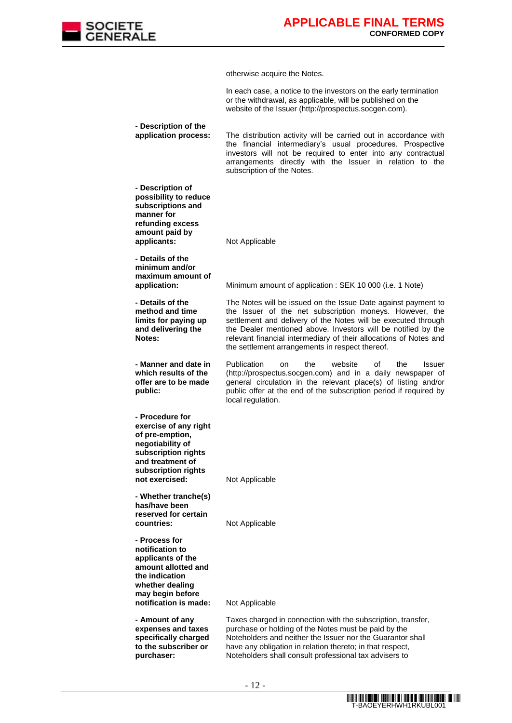

otherwise acquire the Notes.

In each case, a notice to the investors on the early termination or the withdrawal, as applicable, will be published on the website of the Issuer (http://prospectus.socgen.com).

**- Description of the application process:** The distribution activity will be carried out in accordance with the financial intermediary's usual procedures. Prospective investors will not be required to enter into any contractual arrangements directly with the Issuer in relation to the subscription of the Notes.

**- Description of possibility to reduce subscriptions and manner for refunding excess amount paid by applicants:** Not Applicable

**- Details of the minimum and/or maximum amount of** 

**- Details of the** 

**- Manner and date in which results of the offer are to be made** 

**Notes:**

**public:**

**- Procedure for exercise of any right of pre-emption, negotiability of subscription rights and treatment of subscription rights** 

**application:** Minimum amount of application : SEK 10 000 (i.e. 1 Note)

**method and time limits for paying up and delivering the**  The Notes will be issued on the Issue Date against payment to the Issuer of the net subscription moneys. However, the settlement and delivery of the Notes will be executed through the Dealer mentioned above. Investors will be notified by the relevant financial intermediary of their allocations of Notes and the settlement arrangements in respect thereof.

> Publication on the website of the Issuer (http://prospectus.socgen.com) and in a daily newspaper of general circulation in the relevant place(s) of listing and/or public offer at the end of the subscription period if required by local regulation.

**not exercised:** Not Applicable

**- Whether tranche(s) has/have been reserved for certain** 

**- Process for notification to applicants of the amount allotted and the indication whether dealing may begin before notification is made:** Not Applicable

**- Amount of any expenses and taxes specifically charged to the subscriber or purchaser:**

**Not Applicable** 

Taxes charged in connection with the subscription, transfer, purchase or holding of the Notes must be paid by the Noteholders and neither the Issuer nor the Guarantor shall have any obligation in relation thereto; in that respect, Noteholders shall consult professional tax advisers to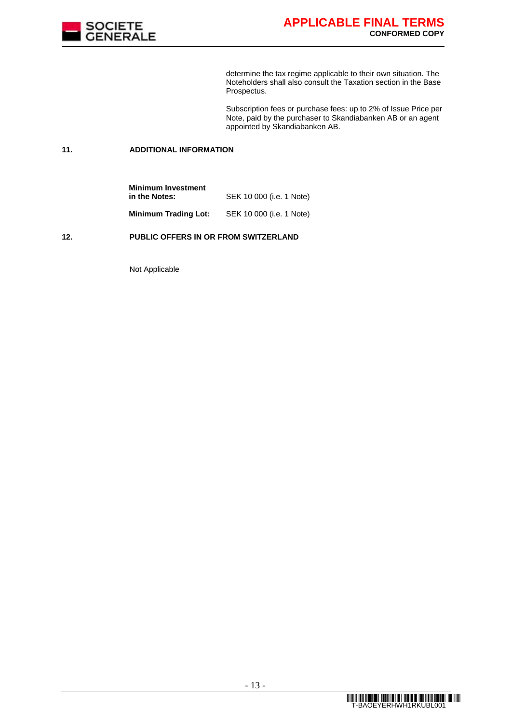

determine the tax regime applicable to their own situation. The Noteholders shall also consult the Taxation section in the Base Prospectus.

Subscription fees or purchase fees: up to 2% of Issue Price per Note, paid by the purchaser to Skandiabanken AB or an agent appointed by Skandiabanken AB.

## **11. ADDITIONAL INFORMATION**

| <b>Minimum Investment</b>   |                                  |
|-----------------------------|----------------------------------|
| in the Notes:               | SEK 10 000 ( <i>i.e.</i> 1 Note) |
| <b>Minimum Trading Lot:</b> | SEK 10 000 (i.e. 1 Note)         |

### **12. PUBLIC OFFERS IN OR FROM SWITZERLAND**

Not Applicable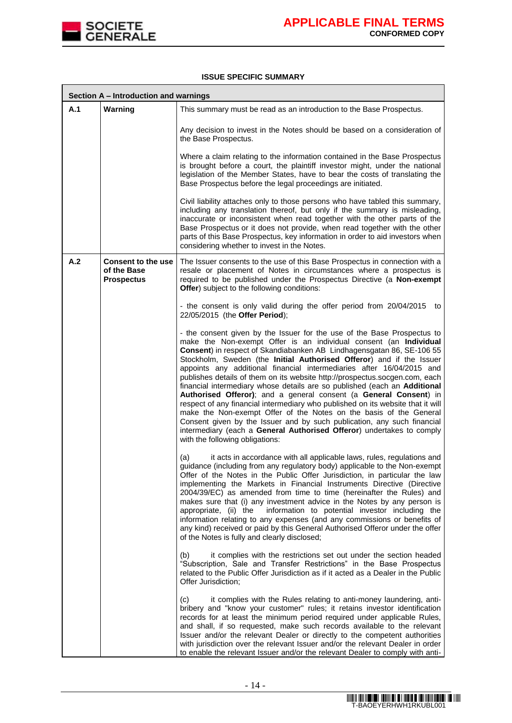

### **ISSUE SPECIFIC SUMMARY**

|     | Section A - Introduction and warnings                         |                                                                                                                                                                                                                                                                                                                                                                                                                                                                                                                                                                                                                                                                                                                                                                                                                                                                                                                                                         |
|-----|---------------------------------------------------------------|---------------------------------------------------------------------------------------------------------------------------------------------------------------------------------------------------------------------------------------------------------------------------------------------------------------------------------------------------------------------------------------------------------------------------------------------------------------------------------------------------------------------------------------------------------------------------------------------------------------------------------------------------------------------------------------------------------------------------------------------------------------------------------------------------------------------------------------------------------------------------------------------------------------------------------------------------------|
| A.1 | Warning                                                       | This summary must be read as an introduction to the Base Prospectus.                                                                                                                                                                                                                                                                                                                                                                                                                                                                                                                                                                                                                                                                                                                                                                                                                                                                                    |
|     |                                                               | Any decision to invest in the Notes should be based on a consideration of<br>the Base Prospectus.                                                                                                                                                                                                                                                                                                                                                                                                                                                                                                                                                                                                                                                                                                                                                                                                                                                       |
|     |                                                               | Where a claim relating to the information contained in the Base Prospectus<br>is brought before a court, the plaintiff investor might, under the national<br>legislation of the Member States, have to bear the costs of translating the<br>Base Prospectus before the legal proceedings are initiated.                                                                                                                                                                                                                                                                                                                                                                                                                                                                                                                                                                                                                                                 |
|     |                                                               | Civil liability attaches only to those persons who have tabled this summary,<br>including any translation thereof, but only if the summary is misleading,<br>inaccurate or inconsistent when read together with the other parts of the<br>Base Prospectus or it does not provide, when read together with the other<br>parts of this Base Prospectus, key information in order to aid investors when<br>considering whether to invest in the Notes.                                                                                                                                                                                                                                                                                                                                                                                                                                                                                                     |
| A.2 | <b>Consent to the use</b><br>of the Base<br><b>Prospectus</b> | The Issuer consents to the use of this Base Prospectus in connection with a<br>resale or placement of Notes in circumstances where a prospectus is<br>required to be published under the Prospectus Directive (a Non-exempt<br>Offer) subject to the following conditions:                                                                                                                                                                                                                                                                                                                                                                                                                                                                                                                                                                                                                                                                              |
|     |                                                               | - the consent is only valid during the offer period from 20/04/2015<br>to<br>22/05/2015 (the Offer Period);                                                                                                                                                                                                                                                                                                                                                                                                                                                                                                                                                                                                                                                                                                                                                                                                                                             |
|     |                                                               | - the consent given by the Issuer for the use of the Base Prospectus to<br>make the Non-exempt Offer is an individual consent (an Individual<br>Consent) in respect of Skandiabanken AB Lindhagensgatan 86, SE-106 55<br>Stockholm, Sweden (the Initial Authorised Offeror) and if the Issuer<br>appoints any additional financial intermediaries after 16/04/2015 and<br>publishes details of them on its website http://prospectus.socgen.com, each<br>financial intermediary whose details are so published (each an Additional<br>Authorised Offeror); and a general consent (a General Consent) in<br>respect of any financial intermediary who published on its website that it will<br>make the Non-exempt Offer of the Notes on the basis of the General<br>Consent given by the Issuer and by such publication, any such financial<br>intermediary (each a General Authorised Offeror) undertakes to comply<br>with the following obligations: |
|     |                                                               | (a)<br>it acts in accordance with all applicable laws, rules, regulations and<br>guidance (including from any regulatory body) applicable to the Non-exempt<br>Offer of the Notes in the Public Offer Jurisdiction, in particular the law<br>implementing the Markets in Financial Instruments Directive (Directive<br>2004/39/EC) as amended from time to time (hereinafter the Rules) and<br>makes sure that (i) any investment advice in the Notes by any person is<br>appropriate, (ii) the<br>information to potential investor including the<br>information relating to any expenses (and any commissions or benefits of<br>any kind) received or paid by this General Authorised Offeror under the offer<br>of the Notes is fully and clearly disclosed;                                                                                                                                                                                         |
|     |                                                               | it complies with the restrictions set out under the section headed<br>(b)<br>"Subscription, Sale and Transfer Restrictions" in the Base Prospectus<br>related to the Public Offer Jurisdiction as if it acted as a Dealer in the Public<br>Offer Jurisdiction;                                                                                                                                                                                                                                                                                                                                                                                                                                                                                                                                                                                                                                                                                          |
|     |                                                               | it complies with the Rules relating to anti-money laundering, anti-<br>(c)<br>bribery and "know your customer" rules; it retains investor identification<br>records for at least the minimum period required under applicable Rules,<br>and shall, if so requested, make such records available to the relevant<br>Issuer and/or the relevant Dealer or directly to the competent authorities<br>with jurisdiction over the relevant Issuer and/or the relevant Dealer in order<br>to enable the relevant Issuer and/or the relevant Dealer to comply with anti-                                                                                                                                                                                                                                                                                                                                                                                        |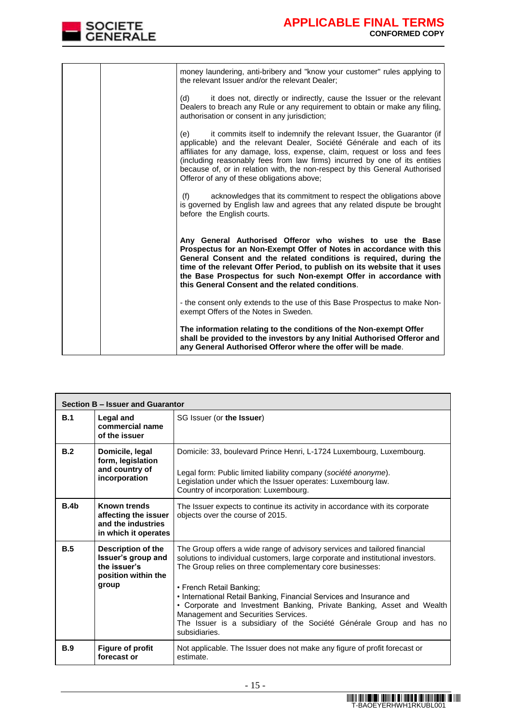

|  | money laundering, anti-bribery and "know your customer" rules applying to<br>the relevant Issuer and/or the relevant Dealer;                                                                                                                                                                                                                                                                                                                  |
|--|-----------------------------------------------------------------------------------------------------------------------------------------------------------------------------------------------------------------------------------------------------------------------------------------------------------------------------------------------------------------------------------------------------------------------------------------------|
|  | it does not, directly or indirectly, cause the Issuer or the relevant<br>(d)<br>Dealers to breach any Rule or any requirement to obtain or make any filing.<br>authorisation or consent in any jurisdiction;                                                                                                                                                                                                                                  |
|  | it commits itself to indemnify the relevant Issuer, the Guarantor (if<br>(e)<br>applicable) and the relevant Dealer, Société Générale and each of its<br>affiliates for any damage, loss, expense, claim, request or loss and fees<br>(including reasonably fees from law firms) incurred by one of its entities<br>because of, or in relation with, the non-respect by this General Authorised<br>Offeror of any of these obligations above; |
|  | acknowledges that its commitment to respect the obligations above<br>(f)<br>is governed by English law and agrees that any related dispute be brought<br>before the English courts.                                                                                                                                                                                                                                                           |
|  | Any General Authorised Offeror who wishes to use the Base<br>Prospectus for an Non-Exempt Offer of Notes in accordance with this<br>General Consent and the related conditions is required, during the<br>time of the relevant Offer Period, to publish on its website that it uses<br>the Base Prospectus for such Non-exempt Offer in accordance with<br>this General Consent and the related conditions.                                   |
|  | - the consent only extends to the use of this Base Prospectus to make Non-<br>exempt Offers of the Notes in Sweden.                                                                                                                                                                                                                                                                                                                           |
|  | The information relating to the conditions of the Non-exempt Offer<br>shall be provided to the investors by any Initial Authorised Offeror and<br>any General Authorised Offeror where the offer will be made.                                                                                                                                                                                                                                |

|                  | Section B - Issuer and Guarantor                                                          |                                                                                                                                                                                                                                                                                                                                                                                                                                                                                                                                      |  |  |
|------------------|-------------------------------------------------------------------------------------------|--------------------------------------------------------------------------------------------------------------------------------------------------------------------------------------------------------------------------------------------------------------------------------------------------------------------------------------------------------------------------------------------------------------------------------------------------------------------------------------------------------------------------------------|--|--|
| B.1              | <b>Legal and</b><br>commercial name<br>of the issuer                                      | SG Issuer (or the Issuer)                                                                                                                                                                                                                                                                                                                                                                                                                                                                                                            |  |  |
| B.2              | Domicile, legal<br>form, legislation<br>and country of<br>incorporation                   | Domicile: 33, boulevard Prince Henri, L-1724 Luxembourg, Luxembourg.<br>Legal form: Public limited liability company (société anonyme).<br>Legislation under which the Issuer operates: Luxembourg law.<br>Country of incorporation: Luxembourg.                                                                                                                                                                                                                                                                                     |  |  |
| B.4 <sub>b</sub> | <b>Known trends</b><br>affecting the issuer<br>and the industries<br>in which it operates | The Issuer expects to continue its activity in accordance with its corporate<br>objects over the course of 2015.                                                                                                                                                                                                                                                                                                                                                                                                                     |  |  |
| B.5              | Description of the<br>Issuer's group and<br>the issuer's<br>position within the<br>group  | The Group offers a wide range of advisory services and tailored financial<br>solutions to individual customers, large corporate and institutional investors.<br>The Group relies on three complementary core businesses:<br>• French Retail Banking;<br>• International Retail Banking, Financial Services and Insurance and<br>• Corporate and Investment Banking, Private Banking, Asset and Wealth<br>Management and Securities Services.<br>The Issuer is a subsidiary of the Société Générale Group and has no<br>subsidiaries. |  |  |
| <b>B.9</b>       | <b>Figure of profit</b><br>forecast or                                                    | Not applicable. The Issuer does not make any figure of profit forecast or<br>estimate.                                                                                                                                                                                                                                                                                                                                                                                                                                               |  |  |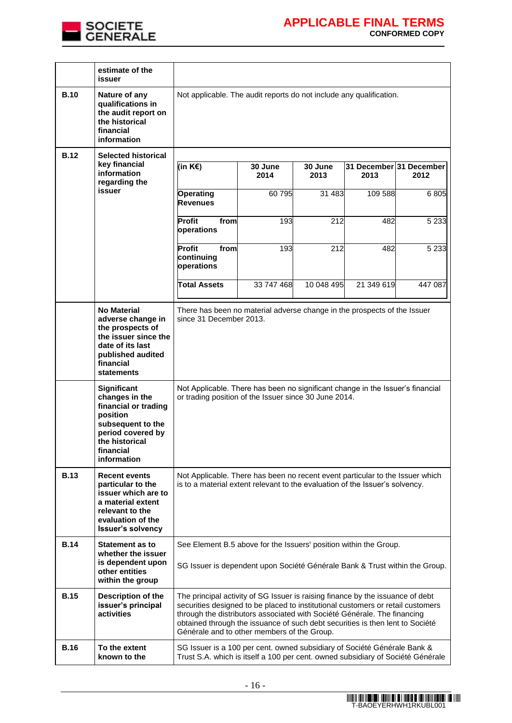

|             | estimate of the<br>issuer                                                                                                                                      |                                                                                                                                                                                                                                                                                                                                                                               |                 |                 |                                 |         |
|-------------|----------------------------------------------------------------------------------------------------------------------------------------------------------------|-------------------------------------------------------------------------------------------------------------------------------------------------------------------------------------------------------------------------------------------------------------------------------------------------------------------------------------------------------------------------------|-----------------|-----------------|---------------------------------|---------|
| <b>B.10</b> | Nature of any<br>qualifications in<br>the audit report on<br>the historical<br>financial<br>information                                                        | Not applicable. The audit reports do not include any qualification.                                                                                                                                                                                                                                                                                                           |                 |                 |                                 |         |
| <b>B.12</b> | <b>Selected historical</b>                                                                                                                                     |                                                                                                                                                                                                                                                                                                                                                                               |                 |                 |                                 |         |
|             | key financial<br>information<br>regarding the                                                                                                                  | (in $K \in \mathbb{R}$ )                                                                                                                                                                                                                                                                                                                                                      | 30 June<br>2014 | 30 June<br>2013 | 31 December 31 December<br>2013 | 2012    |
|             | <b>issuer</b>                                                                                                                                                  | Operating<br><b>Revenues</b>                                                                                                                                                                                                                                                                                                                                                  | 60 795          | 31 4 83         | 109 588                         | 6805    |
|             |                                                                                                                                                                | Profit<br>from<br>operations                                                                                                                                                                                                                                                                                                                                                  | 193             | 212             | 482                             | 5 2 3 3 |
|             |                                                                                                                                                                | Profit<br>from<br>continuing<br>operations                                                                                                                                                                                                                                                                                                                                    | 193             | 212             | 482                             | 5 2 3 3 |
|             |                                                                                                                                                                | <b>Total Assets</b>                                                                                                                                                                                                                                                                                                                                                           | 33 747 468      | 10 048 495      | 21 349 619                      | 447 087 |
|             | <b>No Material</b><br>adverse change in<br>the prospects of<br>the issuer since the<br>date of its last<br>published audited<br>financial<br><b>statements</b> | There has been no material adverse change in the prospects of the Issuer<br>since 31 December 2013.                                                                                                                                                                                                                                                                           |                 |                 |                                 |         |
|             | Significant<br>changes in the<br>financial or trading<br>position<br>subsequent to the<br>period covered by<br>the historical<br>financial<br>information      | Not Applicable. There has been no significant change in the Issuer's financial<br>or trading position of the Issuer since 30 June 2014.                                                                                                                                                                                                                                       |                 |                 |                                 |         |
| <b>B.13</b> | <b>Recent events</b><br>particular to the<br>issuer which are to<br>a material extent<br>relevant to the<br>evaluation of the<br><b>Issuer's solvency</b>      | Not Applicable. There has been no recent event particular to the Issuer which<br>is to a material extent relevant to the evaluation of the Issuer's solvency.                                                                                                                                                                                                                 |                 |                 |                                 |         |
| <b>B.14</b> | <b>Statement as to</b><br>whether the issuer<br>is dependent upon<br>other entities<br>within the group                                                        | See Element B.5 above for the Issuers' position within the Group.<br>SG Issuer is dependent upon Société Générale Bank & Trust within the Group.                                                                                                                                                                                                                              |                 |                 |                                 |         |
| <b>B.15</b> | Description of the<br>issuer's principal<br>activities                                                                                                         | The principal activity of SG Issuer is raising finance by the issuance of debt<br>securities designed to be placed to institutional customers or retail customers<br>through the distributors associated with Société Générale. The financing<br>obtained through the issuance of such debt securities is then lent to Société<br>Générale and to other members of the Group. |                 |                 |                                 |         |
| <b>B.16</b> | To the extent<br>known to the                                                                                                                                  | SG Issuer is a 100 per cent. owned subsidiary of Société Générale Bank &<br>Trust S.A. which is itself a 100 per cent. owned subsidiary of Société Générale                                                                                                                                                                                                                   |                 |                 |                                 |         |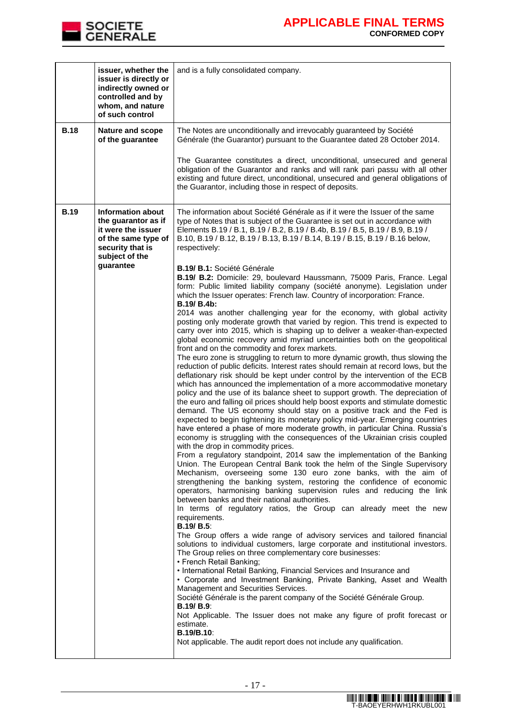

|             | issuer, whether the<br>issuer is directly or<br>indirectly owned or<br>controlled and by<br>whom, and nature<br>of such control                 | and is a fully consolidated company.                                                                                                                                                                                                                                                                                                                                                                                                                                                                                                                                                                                                                                                                                                                                                                                                                                                                                                                                                                                                                                                                                                                                                                                                                                                                                                                                                                                                                                                                                                                                                                                                                                                                                                                                                                                                                                                                                                                                                                                                                                                                                                                                                                                                                                                                                                                                                                                                                                                                                                                                                                                                                                                                                                                                                                                                                                                                                                                                                                                                                                                                                                                                 |
|-------------|-------------------------------------------------------------------------------------------------------------------------------------------------|----------------------------------------------------------------------------------------------------------------------------------------------------------------------------------------------------------------------------------------------------------------------------------------------------------------------------------------------------------------------------------------------------------------------------------------------------------------------------------------------------------------------------------------------------------------------------------------------------------------------------------------------------------------------------------------------------------------------------------------------------------------------------------------------------------------------------------------------------------------------------------------------------------------------------------------------------------------------------------------------------------------------------------------------------------------------------------------------------------------------------------------------------------------------------------------------------------------------------------------------------------------------------------------------------------------------------------------------------------------------------------------------------------------------------------------------------------------------------------------------------------------------------------------------------------------------------------------------------------------------------------------------------------------------------------------------------------------------------------------------------------------------------------------------------------------------------------------------------------------------------------------------------------------------------------------------------------------------------------------------------------------------------------------------------------------------------------------------------------------------------------------------------------------------------------------------------------------------------------------------------------------------------------------------------------------------------------------------------------------------------------------------------------------------------------------------------------------------------------------------------------------------------------------------------------------------------------------------------------------------------------------------------------------------------------------------------------------------------------------------------------------------------------------------------------------------------------------------------------------------------------------------------------------------------------------------------------------------------------------------------------------------------------------------------------------------------------------------------------------------------------------------------------------------|
| <b>B.18</b> | Nature and scope<br>of the guarantee                                                                                                            | The Notes are unconditionally and irrevocably guaranteed by Société<br>Générale (the Guarantor) pursuant to the Guarantee dated 28 October 2014.<br>The Guarantee constitutes a direct, unconditional, unsecured and general<br>obligation of the Guarantor and ranks and will rank pari passu with all other<br>existing and future direct, unconditional, unsecured and general obligations of<br>the Guarantor, including those in respect of deposits.                                                                                                                                                                                                                                                                                                                                                                                                                                                                                                                                                                                                                                                                                                                                                                                                                                                                                                                                                                                                                                                                                                                                                                                                                                                                                                                                                                                                                                                                                                                                                                                                                                                                                                                                                                                                                                                                                                                                                                                                                                                                                                                                                                                                                                                                                                                                                                                                                                                                                                                                                                                                                                                                                                           |
| <b>B.19</b> | <b>Information about</b><br>the guarantor as if<br>it were the issuer<br>of the same type of<br>security that is<br>subject of the<br>guarantee | The information about Société Générale as if it were the Issuer of the same<br>type of Notes that is subject of the Guarantee is set out in accordance with<br>Elements B.19 / B.1, B.19 / B.2, B.19 / B.4b, B.19 / B.5, B.19 / B.9, B.19 /<br>B.10, B.19 / B.12, B.19 / B.13, B.19 / B.14, B.19 / B.15, B.19 / B.16 below,<br>respectively:<br>B.19/ B.1: Société Générale<br>B.19/ B.2: Domicile: 29, boulevard Haussmann, 75009 Paris, France. Legal<br>form: Public limited liability company (société anonyme). Legislation under<br>which the Issuer operates: French law. Country of incorporation: France.<br><b>B.19/ B.4b:</b><br>2014 was another challenging year for the economy, with global activity<br>posting only moderate growth that varied by region. This trend is expected to<br>carry over into 2015, which is shaping up to deliver a weaker-than-expected<br>global economic recovery amid myriad uncertainties both on the geopolitical<br>front and on the commodity and forex markets.<br>The euro zone is struggling to return to more dynamic growth, thus slowing the<br>reduction of public deficits. Interest rates should remain at record lows, but the<br>deflationary risk should be kept under control by the intervention of the ECB<br>which has announced the implementation of a more accommodative monetary<br>policy and the use of its balance sheet to support growth. The depreciation of<br>the euro and falling oil prices should help boost exports and stimulate domestic<br>demand. The US economy should stay on a positive track and the Fed is<br>expected to begin tightening its monetary policy mid-year. Emerging countries<br>have entered a phase of more moderate growth, in particular China. Russia's<br>economy is struggling with the consequences of the Ukrainian crisis coupled<br>with the drop in commodity prices.<br>From a regulatory standpoint, 2014 saw the implementation of the Banking<br>Union. The European Central Bank took the helm of the Single Supervisory<br>Mechanism, overseeing some 130 euro zone banks, with the aim of<br>strengthening the banking system, restoring the confidence of economic<br>operators, harmonising banking supervision rules and reducing the link<br>between banks and their national authorities.<br>In terms of regulatory ratios, the Group can already meet the new<br>requirements.<br><b>B.19/ B.5:</b><br>The Group offers a wide range of advisory services and tailored financial<br>solutions to individual customers, large corporate and institutional investors.<br>The Group relies on three complementary core businesses:<br>• French Retail Banking;<br>• International Retail Banking, Financial Services and Insurance and<br>• Corporate and Investment Banking, Private Banking, Asset and Wealth<br>Management and Securities Services.<br>Société Générale is the parent company of the Société Générale Group.<br><b>B.19/ B.9:</b><br>Not Applicable. The Issuer does not make any figure of profit forecast or<br>estimate.<br>B.19/B.10:<br>Not applicable. The audit report does not include any qualification. |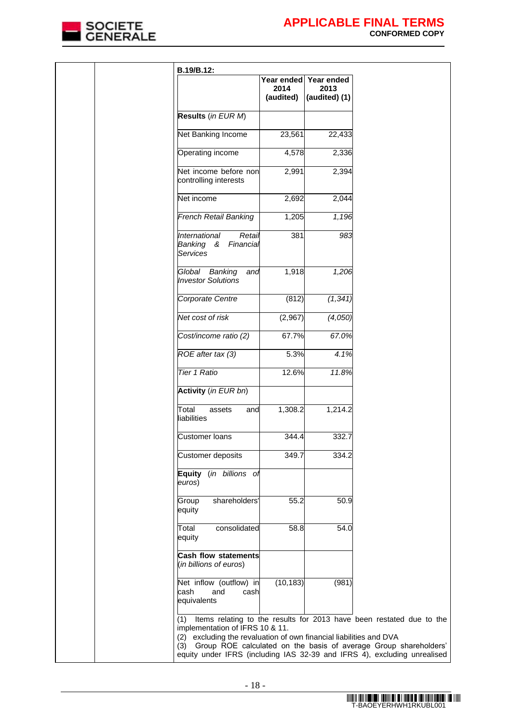

| B.19/B.12:                                                                                                                                                                                                                                                       |                                 |                                     |                                                                      |
|------------------------------------------------------------------------------------------------------------------------------------------------------------------------------------------------------------------------------------------------------------------|---------------------------------|-------------------------------------|----------------------------------------------------------------------|
|                                                                                                                                                                                                                                                                  | Year ended<br>2014<br>(audited) | Year ended<br>2013<br>(audited) (1) |                                                                      |
| Results (in EUR M)                                                                                                                                                                                                                                               |                                 |                                     |                                                                      |
| Net Banking Income                                                                                                                                                                                                                                               | 23,561                          | 22,433                              |                                                                      |
| Operating income                                                                                                                                                                                                                                                 | 4,578                           | 2,336                               |                                                                      |
| Net income before non<br>controlling interests                                                                                                                                                                                                                   | 2,991                           | 2,394                               |                                                                      |
| Net income                                                                                                                                                                                                                                                       | 2,692                           | 2,044                               |                                                                      |
| French Retail Banking                                                                                                                                                                                                                                            | 1,205                           | 1,196                               |                                                                      |
| International<br>Retail<br>Banking &<br>Financial<br>Services                                                                                                                                                                                                    | 381                             | 983                                 |                                                                      |
| Global<br>Banking<br>and<br><b>Investor Solutions</b>                                                                                                                                                                                                            | 1,918                           | 1,206                               |                                                                      |
| Corporate Centre                                                                                                                                                                                                                                                 | (812)                           | (1, 341)                            |                                                                      |
| Net cost of risk                                                                                                                                                                                                                                                 | (2,967)                         | (4,050)                             |                                                                      |
| Cost/income ratio (2)                                                                                                                                                                                                                                            | 67.7%                           | 67.0%                               |                                                                      |
| ROE after tax (3)                                                                                                                                                                                                                                                | 5.3%                            | 4.1%                                |                                                                      |
| Tier 1 Ratio                                                                                                                                                                                                                                                     | 12.6%                           | 11.8%                               |                                                                      |
| Activity (in EUR bn)                                                                                                                                                                                                                                             |                                 |                                     |                                                                      |
| Total<br>assets<br>and<br>liabilities                                                                                                                                                                                                                            | 1,308.2                         | 1,214.2                             |                                                                      |
| <b>Customer loans</b>                                                                                                                                                                                                                                            | 344.4                           | 332.7                               |                                                                      |
| Customer deposits                                                                                                                                                                                                                                                | 349.7                           | 334.2                               |                                                                      |
| Equity (in billions of<br>euros)                                                                                                                                                                                                                                 |                                 |                                     |                                                                      |
| shareholders'<br>Group<br>equity                                                                                                                                                                                                                                 | 55.2                            | 50.9                                |                                                                      |
| consolidated<br>Total<br>equity                                                                                                                                                                                                                                  | 58.8                            | 54.0                                |                                                                      |
| <b>Cash flow statements</b><br>(in billions of euros)                                                                                                                                                                                                            |                                 |                                     |                                                                      |
| Net inflow (outflow) in<br>cash<br>and<br>cash<br>equivalents                                                                                                                                                                                                    | (10, 183)                       | (981)                               |                                                                      |
| (1)<br>implementation of IFRS 10 & 11.<br>(2) excluding the revaluation of own financial liabilities and DVA<br>(3) Group ROE calculated on the basis of average Group shareholders'<br>equity under IFRS (including IAS 32-39 and IFRS 4), excluding unrealised |                                 |                                     | Items relating to the results for 2013 have been restated due to the |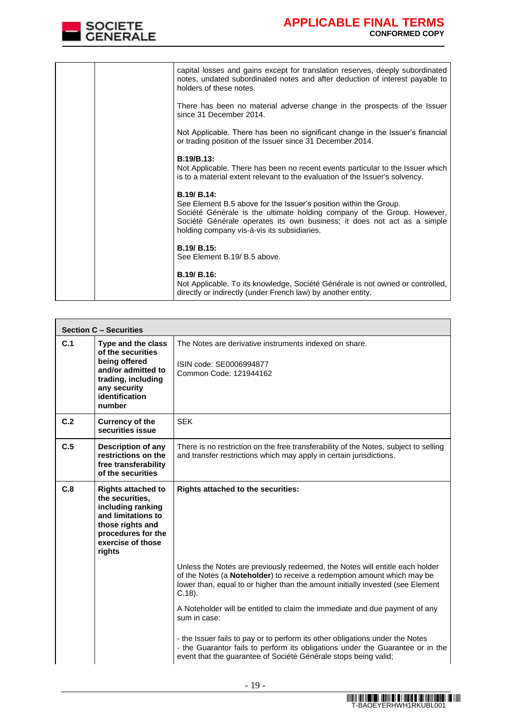

|  | capital losses and gains except for translation reserves, deeply subordinated<br>notes, undated subordinated notes and after deduction of interest payable to<br>holders of these notes.                                                                                              |
|--|---------------------------------------------------------------------------------------------------------------------------------------------------------------------------------------------------------------------------------------------------------------------------------------|
|  | There has been no material adverse change in the prospects of the Issuer<br>since 31 December 2014.                                                                                                                                                                                   |
|  | Not Applicable. There has been no significant change in the Issuer's financial<br>or trading position of the Issuer since 31 December 2014.                                                                                                                                           |
|  | B.19/B.13:<br>Not Applicable. There has been no recent events particular to the Issuer which<br>is to a material extent relevant to the evaluation of the Issuer's solvency.                                                                                                          |
|  | B.19/ B.14:<br>See Element B.5 above for the Issuer's position within the Group.<br>Société Générale is the ultimate holding company of the Group. However,<br>Société Générale operates its own business; it does not act as a simple<br>holding company vis-à-vis its subsidiaries. |
|  | B.19/ B.15:<br>See Element B.19/ B.5 above.                                                                                                                                                                                                                                           |
|  | B.19/ B.16:<br>Not Applicable. To its knowledge, Société Générale is not owned or controlled,<br>directly or indirectly (under French law) by another entity.                                                                                                                         |

|     | <b>Section C - Securities</b>                                                                                                                                    |                                                                                                                                                                                                                                                        |
|-----|------------------------------------------------------------------------------------------------------------------------------------------------------------------|--------------------------------------------------------------------------------------------------------------------------------------------------------------------------------------------------------------------------------------------------------|
| C.1 | Type and the class<br>of the securities<br>being offered<br>and/or admitted to<br>trading, including<br>any security<br>identification<br>number                 | The Notes are derivative instruments indexed on share.<br>ISIN code: SE0006994877<br>Common Code: 121944162                                                                                                                                            |
| C.2 | <b>Currency of the</b><br>securities issue                                                                                                                       | <b>SEK</b>                                                                                                                                                                                                                                             |
| C.5 | Description of any<br>restrictions on the<br>free transferability<br>of the securities                                                                           | There is no restriction on the free transferability of the Notes, subject to selling<br>and transfer restrictions which may apply in certain jurisdictions.                                                                                            |
| C.8 | <b>Rights attached to</b><br>the securities,<br>including ranking<br>and limitations to<br>those rights and<br>procedures for the<br>exercise of those<br>rights | <b>Rights attached to the securities:</b>                                                                                                                                                                                                              |
|     |                                                                                                                                                                  | Unless the Notes are previously redeemed, the Notes will entitle each holder<br>of the Notes (a Noteholder) to receive a redemption amount which may be<br>lower than, equal to or higher than the amount initially invested (see Element<br>$C.18$ ). |
|     |                                                                                                                                                                  | A Noteholder will be entitled to claim the immediate and due payment of any<br>sum in case:                                                                                                                                                            |
|     |                                                                                                                                                                  | - the Issuer fails to pay or to perform its other obligations under the Notes<br>- the Guarantor fails to perform its obligations under the Guarantee or in the<br>event that the guarantee of Société Générale stops being valid;                     |

 $\overline{\phantom{0}}$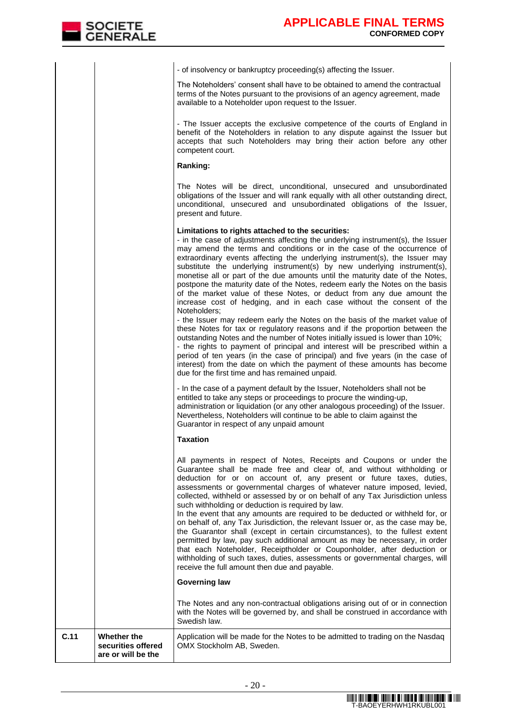| C.11 | Whether the<br>securities offered<br>are or will be the | Application will be made for the Notes to be admitted to trading on the Nasdaq<br>OMX Stockholm AB, Sweden.                                                                                                                                                                                                                                                                                                                                                                                                                                                                                                                                                                                                                                                                                                                                                                                                                                                                          |
|------|---------------------------------------------------------|--------------------------------------------------------------------------------------------------------------------------------------------------------------------------------------------------------------------------------------------------------------------------------------------------------------------------------------------------------------------------------------------------------------------------------------------------------------------------------------------------------------------------------------------------------------------------------------------------------------------------------------------------------------------------------------------------------------------------------------------------------------------------------------------------------------------------------------------------------------------------------------------------------------------------------------------------------------------------------------|
|      |                                                         | The Notes and any non-contractual obligations arising out of or in connection<br>with the Notes will be governed by, and shall be construed in accordance with<br>Swedish law.                                                                                                                                                                                                                                                                                                                                                                                                                                                                                                                                                                                                                                                                                                                                                                                                       |
|      |                                                         | <b>Governing law</b>                                                                                                                                                                                                                                                                                                                                                                                                                                                                                                                                                                                                                                                                                                                                                                                                                                                                                                                                                                 |
|      |                                                         | All payments in respect of Notes, Receipts and Coupons or under the<br>Guarantee shall be made free and clear of, and without withholding or<br>deduction for or on account of, any present or future taxes, duties,<br>assessments or governmental charges of whatever nature imposed, levied,<br>collected, withheld or assessed by or on behalf of any Tax Jurisdiction unless<br>such withholding or deduction is required by law.<br>In the event that any amounts are required to be deducted or withheld for, or<br>on behalf of, any Tax Jurisdiction, the relevant Issuer or, as the case may be,<br>the Guarantor shall (except in certain circumstances), to the fullest extent<br>permitted by law, pay such additional amount as may be necessary, in order<br>that each Noteholder, Receiptholder or Couponholder, after deduction or<br>withholding of such taxes, duties, assessments or governmental charges, will<br>receive the full amount then due and payable. |
|      |                                                         | Taxation                                                                                                                                                                                                                                                                                                                                                                                                                                                                                                                                                                                                                                                                                                                                                                                                                                                                                                                                                                             |
|      |                                                         | - In the case of a payment default by the Issuer, Noteholders shall not be<br>entitled to take any steps or proceedings to procure the winding-up,<br>administration or liquidation (or any other analogous proceeding) of the Issuer.<br>Nevertheless, Noteholders will continue to be able to claim against the<br>Guarantor in respect of any unpaid amount                                                                                                                                                                                                                                                                                                                                                                                                                                                                                                                                                                                                                       |
|      |                                                         | Noteholders:<br>- the Issuer may redeem early the Notes on the basis of the market value of<br>these Notes for tax or regulatory reasons and if the proportion between the<br>outstanding Notes and the number of Notes initially issued is lower than 10%;<br>- the rights to payment of principal and interest will be prescribed within a<br>period of ten years (in the case of principal) and five years (in the case of<br>interest) from the date on which the payment of these amounts has become<br>due for the first time and has remained unpaid.                                                                                                                                                                                                                                                                                                                                                                                                                         |
|      |                                                         | Limitations to rights attached to the securities:<br>- in the case of adjustments affecting the underlying instrument(s), the Issuer<br>may amend the terms and conditions or in the case of the occurrence of<br>extraordinary events affecting the underlying instrument(s), the Issuer may<br>substitute the underlying instrument(s) by new underlying instrument(s),<br>monetise all or part of the due amounts until the maturity date of the Notes,<br>postpone the maturity date of the Notes, redeem early the Notes on the basis<br>of the market value of these Notes, or deduct from any due amount the<br>increase cost of hedging, and in each case without the consent of the                                                                                                                                                                                                                                                                                         |
|      |                                                         | The Notes will be direct, unconditional, unsecured and unsubordinated<br>obligations of the Issuer and will rank equally with all other outstanding direct,<br>unconditional, unsecured and unsubordinated obligations of the Issuer,<br>present and future.                                                                                                                                                                                                                                                                                                                                                                                                                                                                                                                                                                                                                                                                                                                         |
|      |                                                         | Ranking:                                                                                                                                                                                                                                                                                                                                                                                                                                                                                                                                                                                                                                                                                                                                                                                                                                                                                                                                                                             |
|      |                                                         | - The Issuer accepts the exclusive competence of the courts of England in<br>benefit of the Noteholders in relation to any dispute against the Issuer but<br>accepts that such Noteholders may bring their action before any other<br>competent court.                                                                                                                                                                                                                                                                                                                                                                                                                                                                                                                                                                                                                                                                                                                               |
|      |                                                         | The Noteholders' consent shall have to be obtained to amend the contractual<br>terms of the Notes pursuant to the provisions of an agency agreement, made<br>available to a Noteholder upon request to the Issuer.                                                                                                                                                                                                                                                                                                                                                                                                                                                                                                                                                                                                                                                                                                                                                                   |
|      |                                                         | - of insolvency or bankruptcy proceeding(s) affecting the Issuer.                                                                                                                                                                                                                                                                                                                                                                                                                                                                                                                                                                                                                                                                                                                                                                                                                                                                                                                    |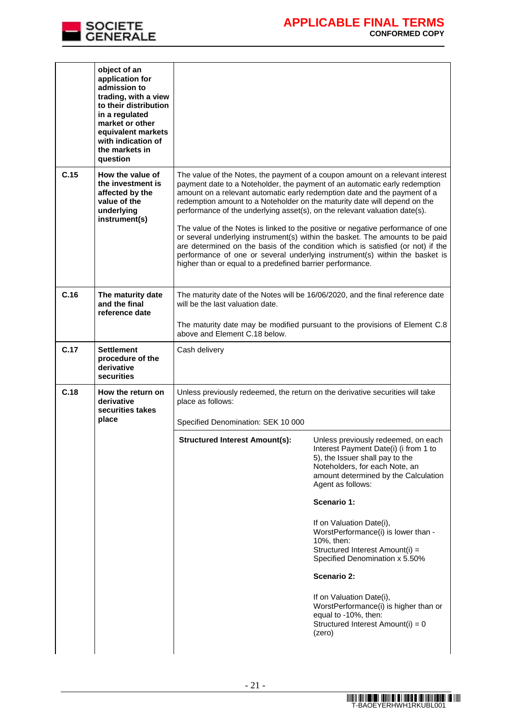

|      | object of an<br>application for<br>admission to<br>trading, with a view<br>to their distribution<br>in a regulated<br>market or other<br>equivalent markets<br>with indication of<br>the markets in<br>question |                                                                                                                                                                                                                                                                                                                                                                                                                                                                                                                                                                                                                                                                                                                                                                                                        |                                                                                                                                                                                                                                                                                                                                                                                                                                                                                                                                                |  |
|------|-----------------------------------------------------------------------------------------------------------------------------------------------------------------------------------------------------------------|--------------------------------------------------------------------------------------------------------------------------------------------------------------------------------------------------------------------------------------------------------------------------------------------------------------------------------------------------------------------------------------------------------------------------------------------------------------------------------------------------------------------------------------------------------------------------------------------------------------------------------------------------------------------------------------------------------------------------------------------------------------------------------------------------------|------------------------------------------------------------------------------------------------------------------------------------------------------------------------------------------------------------------------------------------------------------------------------------------------------------------------------------------------------------------------------------------------------------------------------------------------------------------------------------------------------------------------------------------------|--|
| C.15 | How the value of<br>the investment is<br>affected by the<br>value of the<br>underlying<br>instrument(s)                                                                                                         | The value of the Notes, the payment of a coupon amount on a relevant interest<br>payment date to a Noteholder, the payment of an automatic early redemption<br>amount on a relevant automatic early redemption date and the payment of a<br>redemption amount to a Noteholder on the maturity date will depend on the<br>performance of the underlying asset(s), on the relevant valuation date(s).<br>The value of the Notes is linked to the positive or negative performance of one<br>or several underlying instrument(s) within the basket. The amounts to be paid<br>are determined on the basis of the condition which is satisfied (or not) if the<br>performance of one or several underlying instrument(s) within the basket is<br>higher than or equal to a predefined barrier performance. |                                                                                                                                                                                                                                                                                                                                                                                                                                                                                                                                                |  |
| C.16 | The maturity date<br>and the final<br>reference date                                                                                                                                                            | The maturity date of the Notes will be 16/06/2020, and the final reference date<br>will be the last valuation date.<br>The maturity date may be modified pursuant to the provisions of Element C.8<br>above and Element C.18 below.                                                                                                                                                                                                                                                                                                                                                                                                                                                                                                                                                                    |                                                                                                                                                                                                                                                                                                                                                                                                                                                                                                                                                |  |
| C.17 | <b>Settlement</b><br>procedure of the<br>derivative<br>securities                                                                                                                                               | Cash delivery                                                                                                                                                                                                                                                                                                                                                                                                                                                                                                                                                                                                                                                                                                                                                                                          |                                                                                                                                                                                                                                                                                                                                                                                                                                                                                                                                                |  |
| C.18 | How the return on<br>derivative<br>securities takes<br>place                                                                                                                                                    | Unless previously redeemed, the return on the derivative securities will take<br>place as follows:<br>Specified Denomination: SEK 10 000<br><b>Structured Interest Amount(s):</b>                                                                                                                                                                                                                                                                                                                                                                                                                                                                                                                                                                                                                      | Unless previously redeemed, on each<br>Interest Payment Date(i) (i from 1 to<br>5), the Issuer shall pay to the<br>Noteholders, for each Note, an<br>amount determined by the Calculation<br>Agent as follows:<br>Scenario 1:<br>If on Valuation Date(i),<br>WorstPerformance(i) is lower than -<br>10%, then:<br>Structured Interest Amount(i) =<br>Specified Denomination x 5.50%<br>Scenario 2:<br>If on Valuation Date(i),<br>WorstPerformance(i) is higher than or<br>equal to -10%, then:<br>Structured Interest Amount(i) = 0<br>(zero) |  |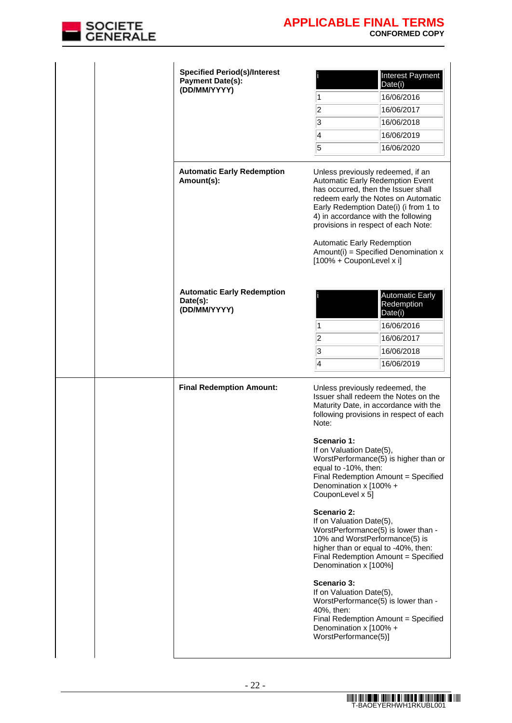

| <b>Specified Period(s)/Interest</b><br><b>Payment Date(s):</b><br>(DD/MM/YYYY) | Interest Payment<br>Date(i)<br>16/06/2016<br>1<br>2<br>16/06/2017<br>3<br>16/06/2018<br>4<br>16/06/2019<br>5<br>16/06/2020                                                                                                                                                                                                                                                                                       |
|--------------------------------------------------------------------------------|------------------------------------------------------------------------------------------------------------------------------------------------------------------------------------------------------------------------------------------------------------------------------------------------------------------------------------------------------------------------------------------------------------------|
| <b>Automatic Early Redemption</b><br>Amount(s):                                | Unless previously redeemed, if an<br>Automatic Early Redemption Event<br>has occurred, then the Issuer shall<br>redeem early the Notes on Automatic<br>Early Redemption Date(i) (i from 1 to<br>4) in accordance with the following<br>provisions in respect of each Note:<br><b>Automatic Early Redemption</b><br>Amount(i) = Specified Denomination $x$<br>[100% + CouponLevel x i]                            |
| <b>Automatic Early Redemption</b><br>Date(s):<br>(DD/MM/YYYY)                  | <b>Automatic Early</b><br>Redemption<br>Date(i)<br>16/06/2016<br>1<br>$\overline{c}$<br>16/06/2017<br>3<br>16/06/2018<br>$\overline{\mathbf{4}}$<br>16/06/2019                                                                                                                                                                                                                                                   |
| <b>Final Redemption Amount:</b>                                                | Unless previously redeemed, the<br>Issuer shall redeem the Notes on the<br>Maturity Date, in accordance with the<br>following provisions in respect of each<br>Note:<br>Scenario 1:<br>If on Valuation Date(5),<br>WorstPerformance(5) is higher than or<br>equal to -10%, then:<br>Final Redemption Amount = Specified<br>Denomination x [100% +<br>CouponLevel x 5]                                            |
|                                                                                | Scenario 2:<br>If on Valuation Date(5),<br>WorstPerformance(5) is lower than -<br>10% and WorstPerformance(5) is<br>higher than or equal to -40%, then:<br>Final Redemption Amount = Specified<br>Denomination x [100%]<br>Scenario 3:<br>If on Valuation Date(5),<br>WorstPerformance(5) is lower than -<br>40%, then:<br>Final Redemption Amount = Specified<br>Denomination x [100% +<br>WorstPerformance(5)] |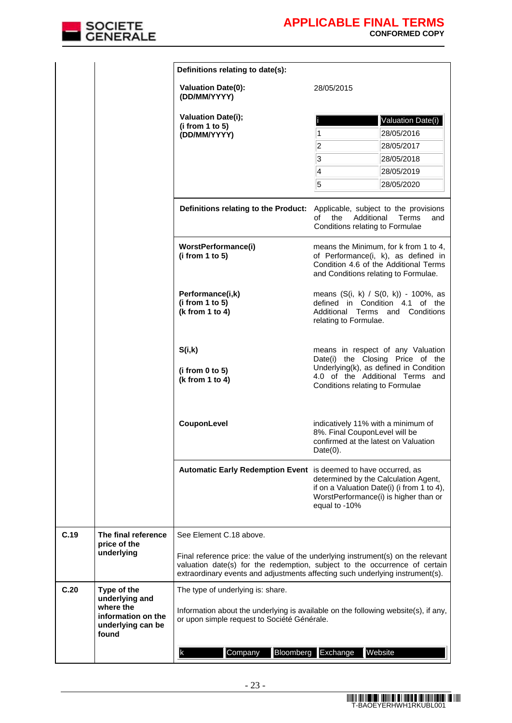

|      |                                                   | Definitions relating to date(s):                                                                                                                                                          |                                                                                                                            |                                                                                                                                                                                       |  |  |
|------|---------------------------------------------------|-------------------------------------------------------------------------------------------------------------------------------------------------------------------------------------------|----------------------------------------------------------------------------------------------------------------------------|---------------------------------------------------------------------------------------------------------------------------------------------------------------------------------------|--|--|
|      |                                                   | <b>Valuation Date(0):</b><br>(DD/MM/YYYY)                                                                                                                                                 | 28/05/2015                                                                                                                 |                                                                                                                                                                                       |  |  |
|      |                                                   | <b>Valuation Date(i);</b><br>(i from 1 to 5)<br>(DD/MM/YYYY)                                                                                                                              | 1<br>$\overline{2}$<br>3                                                                                                   | Valuation Date(i)<br>28/05/2016<br>28/05/2017<br>28/05/2018                                                                                                                           |  |  |
|      |                                                   |                                                                                                                                                                                           | 4<br>5                                                                                                                     | 28/05/2019<br>28/05/2020                                                                                                                                                              |  |  |
|      |                                                   | Definitions relating to the Product: Applicable, subject to the provisions                                                                                                                | Additional<br>of<br>the<br>Conditions relating to Formulae                                                                 | Terms<br>and                                                                                                                                                                          |  |  |
|      |                                                   | WorstPerformance(i)<br>(i from 1 to 5)                                                                                                                                                    | and Conditions relating to Formulae.                                                                                       | means the Minimum, for k from 1 to 4,<br>of Performance(i, k), as defined in<br>Condition 4.6 of the Additional Terms                                                                 |  |  |
|      |                                                   | Performance(i,k)<br>(i from 1 to 5)<br>(k from 1 to 4)                                                                                                                                    | relating to Formulae.                                                                                                      | means (S(i, k) / S(0, k)) - 100%, as<br>defined in Condition 4.1 of the<br>Additional Terms and Conditions                                                                            |  |  |
|      |                                                   | S(i,k)<br>(i from 0 to 5)<br>(k from 1 to 4)                                                                                                                                              |                                                                                                                            | means in respect of any Valuation<br>Date(i) the Closing Price of the<br>Underlying(k), as defined in Condition<br>4.0 of the Additional Terms and<br>Conditions relating to Formulae |  |  |
|      |                                                   | CouponLevel                                                                                                                                                                               | indicatively 11% with a minimum of<br>8%. Final CouponLevel will be<br>confirmed at the latest on Valuation<br>$Date(0)$ . |                                                                                                                                                                                       |  |  |
|      |                                                   | Automatic Early Redemption Event is deemed to have occurred, as                                                                                                                           | equal to -10%                                                                                                              | determined by the Calculation Agent,<br>if on a Valuation Date(i) (i from 1 to 4),<br>WorstPerformance(i) is higher than or                                                           |  |  |
| C.19 | The final reference<br>price of the<br>underlying | See Element C.18 above.<br>Final reference price: the value of the underlying instrument(s) on the relevant<br>valuation date(s) for the redemption, subject to the occurrence of certain |                                                                                                                            |                                                                                                                                                                                       |  |  |
| C.20 | Type of the<br>underlying and<br>where the        | extraordinary events and adjustments affecting such underlying instrument(s).<br>The type of underlying is: share.                                                                        |                                                                                                                            |                                                                                                                                                                                       |  |  |
|      | information on the<br>underlying can be<br>found  | Information about the underlying is available on the following website(s), if any,<br>or upon simple request to Société Générale.                                                         |                                                                                                                            |                                                                                                                                                                                       |  |  |
|      |                                                   | Bloomberg<br>Company<br>lk.                                                                                                                                                               | Exchange                                                                                                                   | Website                                                                                                                                                                               |  |  |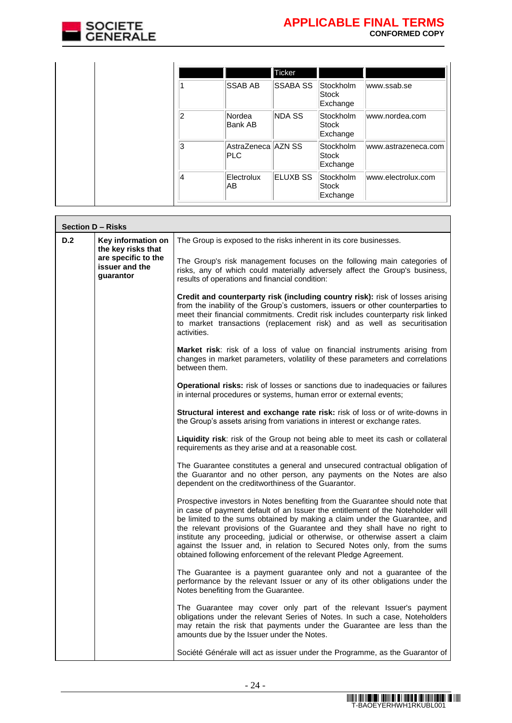

|    |                           | <b>Ticker</b>   |                                |                     |
|----|---------------------------|-----------------|--------------------------------|---------------------|
|    | <b>SSAB AB</b>            | <b>SSABA SS</b> | Stockholm<br>Stock<br>Exchange | www.ssab.se         |
| 2  | Nordea<br>Bank AB         | NDA SS          | Stockholm<br>Stock<br>Exchange | www.nordea.com      |
| 3  | AstraZeneca AZN SS<br>PLC |                 | Stockholm<br>Stock<br>Exchange | www.astrazeneca.com |
| 14 | Electrolux<br>AB          | <b>ELUXB SS</b> | Stockholm<br>Stock<br>Exchange | www.electrolux.com  |

|     | <b>Section D - Risks</b>                           |                                                                                                                                                                                                                                                                                                                                                                                                                                                                                                                                                           |
|-----|----------------------------------------------------|-----------------------------------------------------------------------------------------------------------------------------------------------------------------------------------------------------------------------------------------------------------------------------------------------------------------------------------------------------------------------------------------------------------------------------------------------------------------------------------------------------------------------------------------------------------|
| D.2 | Key information on<br>the key risks that           | The Group is exposed to the risks inherent in its core businesses.                                                                                                                                                                                                                                                                                                                                                                                                                                                                                        |
|     | are specific to the<br>issuer and the<br>guarantor | The Group's risk management focuses on the following main categories of<br>risks, any of which could materially adversely affect the Group's business,<br>results of operations and financial condition:                                                                                                                                                                                                                                                                                                                                                  |
|     |                                                    | Credit and counterparty risk (including country risk): risk of losses arising<br>from the inability of the Group's customers, issuers or other counterparties to<br>meet their financial commitments. Credit risk includes counterparty risk linked<br>to market transactions (replacement risk) and as well as securitisation<br>activities.                                                                                                                                                                                                             |
|     |                                                    | <b>Market risk:</b> risk of a loss of value on financial instruments arising from<br>changes in market parameters, volatility of these parameters and correlations<br>between them.                                                                                                                                                                                                                                                                                                                                                                       |
|     |                                                    | <b>Operational risks:</b> risk of losses or sanctions due to inadequacies or failures<br>in internal procedures or systems, human error or external events;                                                                                                                                                                                                                                                                                                                                                                                               |
|     |                                                    | <b>Structural interest and exchange rate risk:</b> risk of loss or of write-downs in<br>the Group's assets arising from variations in interest or exchange rates.                                                                                                                                                                                                                                                                                                                                                                                         |
|     |                                                    | <b>Liquidity risk:</b> risk of the Group not being able to meet its cash or collateral<br>requirements as they arise and at a reasonable cost.                                                                                                                                                                                                                                                                                                                                                                                                            |
|     |                                                    | The Guarantee constitutes a general and unsecured contractual obligation of<br>the Guarantor and no other person, any payments on the Notes are also<br>dependent on the creditworthiness of the Guarantor.                                                                                                                                                                                                                                                                                                                                               |
|     |                                                    | Prospective investors in Notes benefiting from the Guarantee should note that<br>in case of payment default of an Issuer the entitlement of the Noteholder will<br>be limited to the sums obtained by making a claim under the Guarantee, and<br>the relevant provisions of the Guarantee and they shall have no right to<br>institute any proceeding, judicial or otherwise, or otherwise assert a claim<br>against the Issuer and, in relation to Secured Notes only, from the sums<br>obtained following enforcement of the relevant Pledge Agreement. |
|     |                                                    | The Guarantee is a payment guarantee only and not a guarantee of the<br>performance by the relevant Issuer or any of its other obligations under the<br>Notes benefiting from the Guarantee.                                                                                                                                                                                                                                                                                                                                                              |
|     |                                                    | The Guarantee may cover only part of the relevant Issuer's payment<br>obligations under the relevant Series of Notes. In such a case, Noteholders<br>may retain the risk that payments under the Guarantee are less than the<br>amounts due by the Issuer under the Notes.                                                                                                                                                                                                                                                                                |
|     |                                                    | Société Générale will act as issuer under the Programme, as the Guarantor of                                                                                                                                                                                                                                                                                                                                                                                                                                                                              |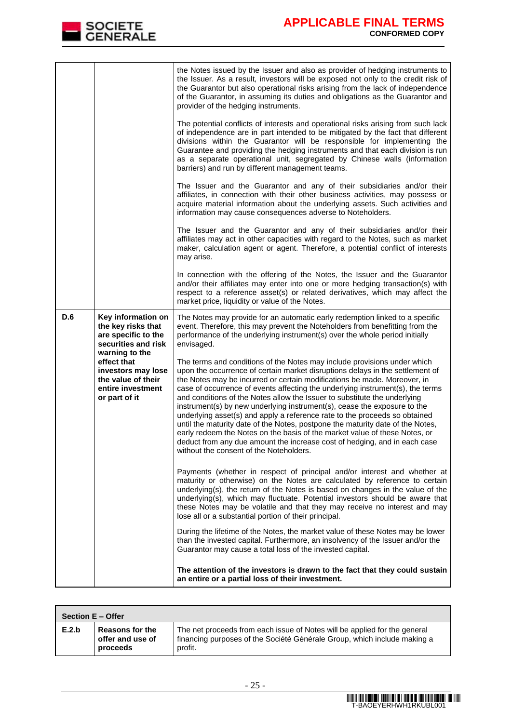

|                              |                                                                                                          | the Notes issued by the Issuer and also as provider of hedging instruments to<br>the Issuer. As a result, investors will be exposed not only to the credit risk of<br>the Guarantor but also operational risks arising from the lack of independence<br>of the Guarantor, in assuming its duties and obligations as the Guarantor and<br>provider of the hedging instruments.                                                                                                                                                                                                                                                                                                                                                                                                                                                                          |
|------------------------------|----------------------------------------------------------------------------------------------------------|--------------------------------------------------------------------------------------------------------------------------------------------------------------------------------------------------------------------------------------------------------------------------------------------------------------------------------------------------------------------------------------------------------------------------------------------------------------------------------------------------------------------------------------------------------------------------------------------------------------------------------------------------------------------------------------------------------------------------------------------------------------------------------------------------------------------------------------------------------|
|                              |                                                                                                          | The potential conflicts of interests and operational risks arising from such lack<br>of independence are in part intended to be mitigated by the fact that different<br>divisions within the Guarantor will be responsible for implementing the<br>Guarantee and providing the hedging instruments and that each division is run<br>as a separate operational unit, segregated by Chinese walls (information<br>barriers) and run by different management teams.                                                                                                                                                                                                                                                                                                                                                                                       |
|                              |                                                                                                          | The Issuer and the Guarantor and any of their subsidiaries and/or their<br>affiliates, in connection with their other business activities, may possess or<br>acquire material information about the underlying assets. Such activities and<br>information may cause consequences adverse to Noteholders.                                                                                                                                                                                                                                                                                                                                                                                                                                                                                                                                               |
|                              |                                                                                                          | The Issuer and the Guarantor and any of their subsidiaries and/or their<br>affiliates may act in other capacities with regard to the Notes, such as market<br>maker, calculation agent or agent. Therefore, a potential conflict of interests<br>may arise.                                                                                                                                                                                                                                                                                                                                                                                                                                                                                                                                                                                            |
|                              |                                                                                                          | In connection with the offering of the Notes, the Issuer and the Guarantor<br>and/or their affiliates may enter into one or more hedging transaction(s) with<br>respect to a reference asset(s) or related derivatives, which may affect the<br>market price, liquidity or value of the Notes.                                                                                                                                                                                                                                                                                                                                                                                                                                                                                                                                                         |
| D.6                          | Key information on<br>the key risks that<br>are specific to the<br>securities and risk<br>warning to the | The Notes may provide for an automatic early redemption linked to a specific<br>event. Therefore, this may prevent the Noteholders from benefitting from the<br>performance of the underlying instrument(s) over the whole period initially<br>envisaged.                                                                                                                                                                                                                                                                                                                                                                                                                                                                                                                                                                                              |
| effect that<br>or part of it | investors may lose<br>the value of their<br>entire investment                                            | The terms and conditions of the Notes may include provisions under which<br>upon the occurrence of certain market disruptions delays in the settlement of<br>the Notes may be incurred or certain modifications be made. Moreover, in<br>case of occurrence of events affecting the underlying instrument(s), the terms<br>and conditions of the Notes allow the Issuer to substitute the underlying<br>instrument(s) by new underlying instrument(s), cease the exposure to the<br>underlying asset(s) and apply a reference rate to the proceeds so obtained<br>until the maturity date of the Notes, postpone the maturity date of the Notes,<br>early redeem the Notes on the basis of the market value of these Notes, or<br>deduct from any due amount the increase cost of hedging, and in each case<br>without the consent of the Noteholders. |
|                              |                                                                                                          | Payments (whether in respect of principal and/or interest and whether at<br>maturity or otherwise) on the Notes are calculated by reference to certain<br>underlying(s), the return of the Notes is based on changes in the value of the<br>underlying(s), which may fluctuate. Potential investors should be aware that<br>these Notes may be volatile and that they may receive no interest and may<br>lose all or a substantial portion of their principal.                                                                                                                                                                                                                                                                                                                                                                                         |
|                              |                                                                                                          | During the lifetime of the Notes, the market value of these Notes may be lower<br>than the invested capital. Furthermore, an insolvency of the Issuer and/or the<br>Guarantor may cause a total loss of the invested capital.                                                                                                                                                                                                                                                                                                                                                                                                                                                                                                                                                                                                                          |
|                              |                                                                                                          | The attention of the investors is drawn to the fact that they could sustain<br>an entire or a partial loss of their investment.                                                                                                                                                                                                                                                                                                                                                                                                                                                                                                                                                                                                                                                                                                                        |

| Section E - Offer |                                                        |                                                                                                                                                                  |  |
|-------------------|--------------------------------------------------------|------------------------------------------------------------------------------------------------------------------------------------------------------------------|--|
| E.2.b             | <b>Reasons for the</b><br>offer and use of<br>proceeds | The net proceeds from each issue of Notes will be applied for the general<br>financing purposes of the Société Générale Group, which include making a<br>profit. |  |

 $\overline{\phantom{a}}$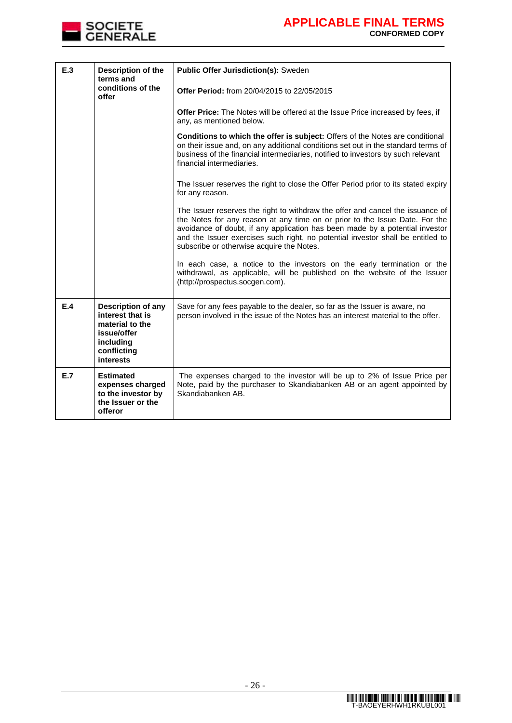

| E.3 | Description of the<br>Public Offer Jurisdiction(s): Sweden<br>terms and                                                  |                                                                                                                                                                                                                                                                                                                                                                               |
|-----|--------------------------------------------------------------------------------------------------------------------------|-------------------------------------------------------------------------------------------------------------------------------------------------------------------------------------------------------------------------------------------------------------------------------------------------------------------------------------------------------------------------------|
|     | conditions of the<br>offer                                                                                               | Offer Period: from 20/04/2015 to 22/05/2015                                                                                                                                                                                                                                                                                                                                   |
|     |                                                                                                                          | Offer Price: The Notes will be offered at the Issue Price increased by fees, if<br>any, as mentioned below.                                                                                                                                                                                                                                                                   |
|     |                                                                                                                          | <b>Conditions to which the offer is subject:</b> Offers of the Notes are conditional<br>on their issue and, on any additional conditions set out in the standard terms of<br>business of the financial intermediaries, notified to investors by such relevant<br>financial intermediaries.                                                                                    |
|     |                                                                                                                          | The Issuer reserves the right to close the Offer Period prior to its stated expiry<br>for any reason.                                                                                                                                                                                                                                                                         |
|     |                                                                                                                          | The Issuer reserves the right to withdraw the offer and cancel the issuance of<br>the Notes for any reason at any time on or prior to the Issue Date. For the<br>avoidance of doubt, if any application has been made by a potential investor<br>and the Issuer exercises such right, no potential investor shall be entitled to<br>subscribe or otherwise acquire the Notes. |
|     |                                                                                                                          | In each case, a notice to the investors on the early termination or the<br>withdrawal, as applicable, will be published on the website of the Issuer<br>(http://prospectus.socgen.com).                                                                                                                                                                                       |
| E.4 | <b>Description of any</b><br>interest that is<br>material to the<br>issue/offer<br>including<br>conflicting<br>interests | Save for any fees payable to the dealer, so far as the Issuer is aware, no<br>person involved in the issue of the Notes has an interest material to the offer.                                                                                                                                                                                                                |
| E.7 | <b>Estimated</b><br>expenses charged<br>to the investor by<br>the Issuer or the<br>offeror                               | The expenses charged to the investor will be up to 2% of Issue Price per<br>Note, paid by the purchaser to Skandiabanken AB or an agent appointed by<br>Skandiabanken AB.                                                                                                                                                                                                     |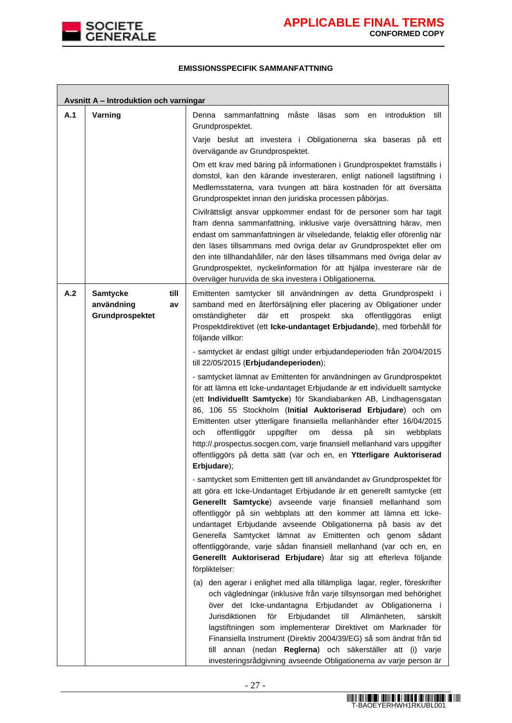

٦

## **EMISSIONSSPECIFIK SAMMANFATTNING**

|     | Avsnitt A - Introduktion och varningar                         |                                                                                                                                                                                                                                                                                                                                                                                                                                                                                                                                                                                                                                                                 |  |  |
|-----|----------------------------------------------------------------|-----------------------------------------------------------------------------------------------------------------------------------------------------------------------------------------------------------------------------------------------------------------------------------------------------------------------------------------------------------------------------------------------------------------------------------------------------------------------------------------------------------------------------------------------------------------------------------------------------------------------------------------------------------------|--|--|
| A.1 | Varning                                                        | måste<br>introduktion<br>Denna<br>sammanfattning<br>läsas<br>till<br>som<br>en<br>Grundprospektet.                                                                                                                                                                                                                                                                                                                                                                                                                                                                                                                                                              |  |  |
|     |                                                                | Varje beslut att investera i Obligationerna ska baseras på ett<br>övervägande av Grundprospektet.                                                                                                                                                                                                                                                                                                                                                                                                                                                                                                                                                               |  |  |
|     |                                                                | Om ett krav med bäring på informationen i Grundprospektet framställs i<br>domstol, kan den kärande investeraren, enligt nationell lagstiftning i<br>Medlemsstaterna, vara tvungen att bära kostnaden för att översätta<br>Grundprospektet innan den juridiska processen påbörjas.                                                                                                                                                                                                                                                                                                                                                                               |  |  |
|     |                                                                | Civilrättsligt ansvar uppkommer endast för de personer som har tagit<br>fram denna sammanfattning, inklusive varje översättning härav, men<br>endast om sammanfattningen är vilseledande, felaktig eller oförenlig när<br>den läses tillsammans med övriga delar av Grundprospektet eller om<br>den inte tillhandahåller, när den läses tillsammans med övriga delar av<br>Grundprospektet, nyckelinformation för att hjälpa investerare när de<br>överväger huruvida de ska investera i Obligationerna.                                                                                                                                                        |  |  |
| A.2 | <b>Samtycke</b><br>till<br>användning<br>av<br>Grundprospektet | Emittenten samtycker till användningen av detta Grundprospekt i<br>samband med en återförsäljning eller placering av Obligationer under<br>där<br>omständigheter<br>ett<br>prospekt<br>ska<br>offentliggöras<br>enligt<br>Prospektdirektivet (ett Icke-undantaget Erbjudande), med förbehåll för<br>följande villkor:                                                                                                                                                                                                                                                                                                                                           |  |  |
|     |                                                                | - samtycket är endast giltigt under erbjudandeperioden från 20/04/2015<br>till 22/05/2015 (Erbjudandeperioden);                                                                                                                                                                                                                                                                                                                                                                                                                                                                                                                                                 |  |  |
|     |                                                                | - samtycket lämnat av Emittenten för användningen av Grundprospektet<br>för att lämna ett Icke-undantaget Erbjudande är ett individuellt samtycke<br>(ett Individuellt Samtycke) för Skandiabanken AB, Lindhagensgatan<br>86, 106 55 Stockholm (Initial Auktoriserad Erbjudare) och om<br>Emittenten utser ytterligare finansiella mellanhänder efter 16/04/2015<br>offentliggör<br>på<br>och<br>uppgifter<br>dessa<br>sin<br>om<br>webbplats<br>http://.prospectus.socgen.com, varje finansiell mellanhand vars uppgifter<br>offentliggörs på detta sätt (var och en, en Ytterligare Auktoriserad<br>Erbjudare);                                               |  |  |
|     |                                                                | - samtycket som Emittenten gett till användandet av Grundprospektet för<br>att göra ett Icke-Undantaget Erbjudande är ett generellt samtycke (ett<br>Generellt Samtycke) avseende varje finansiell mellanhand som<br>offentliggör på sin webbplats att den kommer att lämna ett Icke-<br>undantaget Erbjudande avseende Obligationerna på basis av det<br>Generella Samtycket lämnat av Emittenten och genom sådant<br>offentliggörande, varje sådan finansiell mellanhand (var och en, en<br>Generellt Auktoriserad Erbjudare) åtar sig att efterleva följande<br>förpliktelser:<br>(a) den agerar i enlighet med alla tillämpliga lagar, regler, föreskrifter |  |  |
|     |                                                                | och vägledningar (inklusive från varje tillsynsorgan med behörighet<br>över det Icke-undantagna Erbjudandet av Obligationerna i<br>Jurisdiktionen<br>för<br>Erbjudandet<br>till<br>Allmänheten,<br>särskilt<br>lagstiftningen som implementerar Direktivet om Marknader för<br>Finansiella Instrument (Direktiv 2004/39/EG) så som ändrat från tid<br>till annan (nedan Reglerna) och säkerställer att (i) varje<br>investeringsrådgivning avseende Obligationerna av varje person är                                                                                                                                                                           |  |  |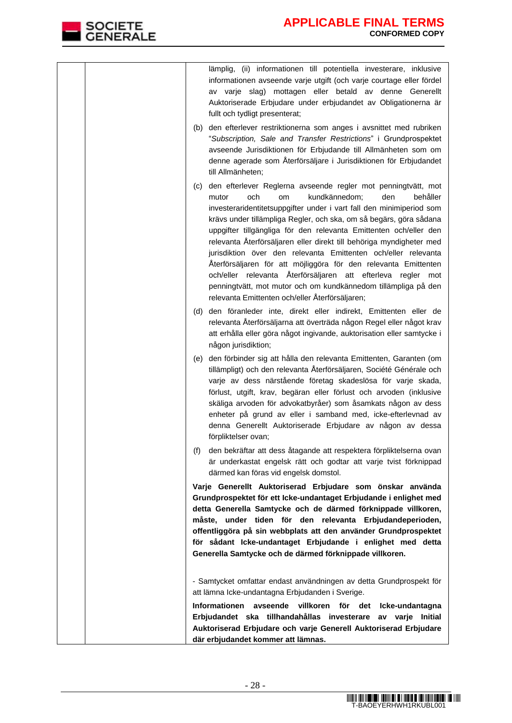| lämplig, (ii) informationen till potentiella investerare, inklusive<br>informationen avseende varje utgift (och varje courtage eller fördel<br>av varje slag) mottagen eller betald av denne Generellt<br>Auktoriserade Erbjudare under erbjudandet av Obligationerna är<br>fullt och tydligt presenterat;<br>(b) den efterlever restriktionerna som anges i avsnittet med rubriken                                                                                                                                                                                                                                                                                                                                                                 |
|-----------------------------------------------------------------------------------------------------------------------------------------------------------------------------------------------------------------------------------------------------------------------------------------------------------------------------------------------------------------------------------------------------------------------------------------------------------------------------------------------------------------------------------------------------------------------------------------------------------------------------------------------------------------------------------------------------------------------------------------------------|
| "Subscription, Sale and Transfer Restrictions" i Grundprospektet<br>avseende Jurisdiktionen för Erbjudande till Allmänheten som om<br>denne agerade som Återförsäljare i Jurisdiktionen för Erbjudandet<br>till Allmänheten;                                                                                                                                                                                                                                                                                                                                                                                                                                                                                                                        |
| den efterlever Reglerna avseende regler mot penningtvätt, mot<br>(c)<br>kundkännedom;<br>och<br>den<br>behåller<br>mutor<br>om<br>investeraridentitetsuppgifter under i vart fall den minimiperiod som<br>krävs under tillämpliga Regler, och ska, om så begärs, göra sådana<br>uppgifter tillgängliga för den relevanta Emittenten och/eller den<br>relevanta Återförsäljaren eller direkt till behöriga myndigheter med<br>jurisdiktion över den relevanta Emittenten och/eller relevanta<br>Återförsäljaren för att möjliggöra för den relevanta Emittenten<br>och/eller relevanta Återförsäljaren att efterleva regler mot<br>penningtvätt, mot mutor och om kundkännedom tillämpliga på den<br>relevanta Emittenten och/eller Återförsäljaren; |
| (d) den föranleder inte, direkt eller indirekt, Emittenten eller de<br>relevanta Återförsäljarna att överträda någon Regel eller något krav<br>att erhålla eller göra något ingivande, auktorisation eller samtycke i<br>någon jurisdiktion;                                                                                                                                                                                                                                                                                                                                                                                                                                                                                                        |
| (e) den förbinder sig att hålla den relevanta Emittenten, Garanten (om<br>tillämpligt) och den relevanta Återförsäljaren, Société Générale och<br>varje av dess närstående företag skadeslösa för varje skada,<br>förlust, utgift, krav, begäran eller förlust och arvoden (inklusive<br>skäliga arvoden för advokatbyråer) som åsamkats någon av dess<br>enheter på grund av eller i samband med, icke-efterlevnad av<br>denna Generellt Auktoriserade Erbjudare av någon av dessa<br>förpliktelser ovan;                                                                                                                                                                                                                                          |
| den bekräftar att dess åtagande att respektera förpliktelserna ovan<br>(f)<br>är underkastat engelsk rätt och godtar att varje tvist förknippad<br>därmed kan föras vid engelsk domstol.                                                                                                                                                                                                                                                                                                                                                                                                                                                                                                                                                            |
| Varje Generellt Auktoriserad Erbjudare som önskar använda<br>Grundprospektet för ett Icke-undantaget Erbjudande i enlighet med<br>detta Generella Samtycke och de därmed förknippade villkoren,<br>måste, under tiden för den relevanta Erbjudandeperioden,<br>offentliggöra på sin webbplats att den använder Grundprospektet<br>för sådant Icke-undantaget Erbjudande i enlighet med detta<br>Generella Samtycke och de därmed förknippade villkoren.                                                                                                                                                                                                                                                                                             |
| - Samtycket omfattar endast användningen av detta Grundprospekt för<br>att lämna Icke-undantagna Erbjudanden i Sverige.                                                                                                                                                                                                                                                                                                                                                                                                                                                                                                                                                                                                                             |
| Informationen avseende villkoren för det Icke-undantagna<br>Erbjudandet ska tillhandahållas investerare av varje Initial<br>Auktoriserad Erbjudare och varje Generell Auktoriserad Erbjudare<br>där erbjudandet kommer att lämnas.                                                                                                                                                                                                                                                                                                                                                                                                                                                                                                                  |

SOCIETE<br>GENERALE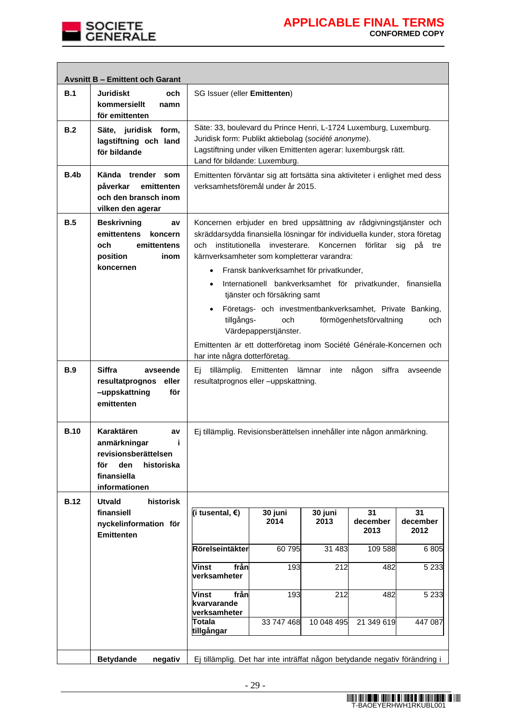

|             | <b>Avsnitt B - Emittent och Garant</b>                                                                                     |                                                                                                                                                                                                                                                                                                             |                                                                                                                                                                                                                                                                                                                                                                                        |                 |                        |                        |
|-------------|----------------------------------------------------------------------------------------------------------------------------|-------------------------------------------------------------------------------------------------------------------------------------------------------------------------------------------------------------------------------------------------------------------------------------------------------------|----------------------------------------------------------------------------------------------------------------------------------------------------------------------------------------------------------------------------------------------------------------------------------------------------------------------------------------------------------------------------------------|-----------------|------------------------|------------------------|
| B.1         | <b>Juridiskt</b><br>och<br>kommersiellt<br>namn<br>för emittenten                                                          |                                                                                                                                                                                                                                                                                                             | SG Issuer (eller Emittenten)                                                                                                                                                                                                                                                                                                                                                           |                 |                        |                        |
| B.2         | Säte, juridisk form,<br>lagstiftning och land<br>för bildande                                                              | Säte: 33, boulevard du Prince Henri, L-1724 Luxemburg, Luxemburg.<br>Juridisk form: Publikt aktiebolag (société anonyme).<br>Lagstiftning under vilken Emittenten agerar: luxemburgsk rätt.<br>Land för bildande: Luxemburg.<br>Emittenten förväntar sig att fortsätta sina aktiviteter i enlighet med dess |                                                                                                                                                                                                                                                                                                                                                                                        |                 |                        |                        |
| B.4b        | Kända trender som<br>påverkar<br>emittenten<br>och den bransch inom<br>vilken den agerar                                   | verksamhetsföremål under år 2015.                                                                                                                                                                                                                                                                           |                                                                                                                                                                                                                                                                                                                                                                                        |                 |                        |                        |
| B.5         | <b>Beskrivning</b><br>av<br>emittentens<br>koncern<br>och<br>emittentens<br>position<br>inom<br>koncernen                  | $\bullet$<br>$\bullet$                                                                                                                                                                                                                                                                                      | Koncernen erbjuder en bred uppsättning av rådgivningstjänster och<br>skräddarsydda finansiella lösningar för individuella kunder, stora företag<br>och institutionella investerare.<br>Koncernen förlitar<br>sig<br>рå<br>tre<br>kärnverksamheter som kompletterar varandra:<br>Fransk bankverksamhet för privatkunder,<br>Internationell bankverksamhet för privatkunder, finansiella |                 |                        |                        |
|             |                                                                                                                            | tjänster och försäkring samt<br>Företags- och investmentbankverksamhet, Private Banking,<br>$\bullet$<br>förmögenhetsförvaltning<br>tillgångs-<br>och<br>och<br>Värdepapperstjänster.<br>Emittenten är ett dotterföretag inom Société Générale-Koncernen och<br>har inte några dotterföretag.               |                                                                                                                                                                                                                                                                                                                                                                                        |                 |                        |                        |
| <b>B.9</b>  | <b>Siffra</b><br>avseende<br>resultatprognos<br>eller<br>-uppskattning<br>för<br>emittenten                                | Ej tillämplig. Emittenten<br>lämnar<br>någon<br>siffra<br>inte<br>avseende<br>resultatprognos eller -uppskattning.                                                                                                                                                                                          |                                                                                                                                                                                                                                                                                                                                                                                        |                 |                        |                        |
| <b>B.10</b> | Karaktären<br>av<br>anmärkningar<br>j.<br>revisionsberättelsen<br>för<br>den<br>historiska<br>finansiella<br>informationen | Ej tillämplig. Revisionsberättelsen innehåller inte någon anmärkning.                                                                                                                                                                                                                                       |                                                                                                                                                                                                                                                                                                                                                                                        |                 |                        |                        |
| <b>B.12</b> | <b>Utvald</b><br>historisk                                                                                                 |                                                                                                                                                                                                                                                                                                             |                                                                                                                                                                                                                                                                                                                                                                                        |                 |                        |                        |
|             | finansiell<br>nyckelinformation för<br><b>Emittenten</b>                                                                   | (i tusental, €)                                                                                                                                                                                                                                                                                             | 30 juni<br>2014                                                                                                                                                                                                                                                                                                                                                                        | 30 juni<br>2013 | 31<br>december<br>2013 | 31<br>december<br>2012 |
|             |                                                                                                                            | Rörelseintäkter                                                                                                                                                                                                                                                                                             | 60795                                                                                                                                                                                                                                                                                                                                                                                  | 31 483          | 109 588                | 6805                   |
|             |                                                                                                                            | från<br><b>Vinst</b><br>verksamheter                                                                                                                                                                                                                                                                        | 193                                                                                                                                                                                                                                                                                                                                                                                    | 212             | 482                    | 5 2 3 3                |
|             |                                                                                                                            | från<br><b>Vinst</b><br>kvarvarande<br>verksamheter                                                                                                                                                                                                                                                         | 193                                                                                                                                                                                                                                                                                                                                                                                    | 212             | 482                    | 5 2 3 3                |
|             |                                                                                                                            | <b>Totala</b><br>tillgångar                                                                                                                                                                                                                                                                                 | 33 747 468                                                                                                                                                                                                                                                                                                                                                                             | 10 048 495      | 21 349 619             | 447 087                |
|             | <b>Betydande</b><br>negativ                                                                                                | Ej tillämplig. Det har inte inträffat någon betydande negativ förändring i                                                                                                                                                                                                                                  |                                                                                                                                                                                                                                                                                                                                                                                        |                 |                        |                        |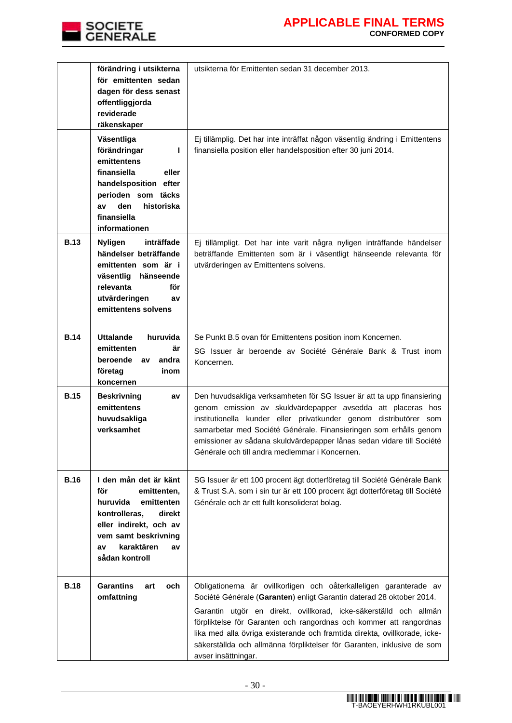

|             | förändring i utsikterna<br>för emittenten sedan<br>dagen för dess senast<br>offentliggjorda<br>reviderade<br>räkenskaper                                                                       | utsikterna för Emittenten sedan 31 december 2013.                                                                                                                                                                                                                                                                                                                                                                                                                   |
|-------------|------------------------------------------------------------------------------------------------------------------------------------------------------------------------------------------------|---------------------------------------------------------------------------------------------------------------------------------------------------------------------------------------------------------------------------------------------------------------------------------------------------------------------------------------------------------------------------------------------------------------------------------------------------------------------|
|             | Väsentliga<br>förändringar<br>L<br>emittentens<br>finansiella<br>eller<br>handelsposition efter<br>perioden som täcks<br>den<br>historiska<br>av<br>finansiella<br>informationen               | Ej tillämplig. Det har inte inträffat någon väsentlig ändring i Emittentens<br>finansiella position eller handelsposition efter 30 juni 2014.                                                                                                                                                                                                                                                                                                                       |
| <b>B.13</b> | inträffade<br><b>Nyligen</b><br>händelser beträffande<br>emittenten som är i<br>väsentlig<br>hänseende<br>relevanta<br>för<br>utvärderingen<br>av<br>emittentens solvens                       | Ej tillämpligt. Det har inte varit några nyligen inträffande händelser<br>beträffande Emittenten som är i väsentligt hänseende relevanta för<br>utvärderingen av Emittentens solvens.                                                                                                                                                                                                                                                                               |
| <b>B.14</b> | <b>Uttalande</b><br>huruvida<br>emittenten<br>är<br>beroende<br>andra<br>av<br>företag<br>inom<br>koncernen                                                                                    | Se Punkt B.5 ovan för Emittentens position inom Koncernen.<br>SG Issuer är beroende av Société Générale Bank & Trust inom<br>Koncernen.                                                                                                                                                                                                                                                                                                                             |
| <b>B.15</b> | <b>Beskrivning</b><br>av<br>emittentens<br>huvudsakliga<br>verksamhet                                                                                                                          | Den huvudsakliga verksamheten för SG Issuer är att ta upp finansiering<br>genom emission av skuldvärdepapper avsedda att placeras hos<br>institutionella kunder eller privatkunder genom distributörer som<br>samarbetar med Société Générale. Finansieringen som erhålls genom<br>emissioner av sådana skuldvärdepapper lånas sedan vidare till Société<br>Générale och till andra medlemmar i Koncernen.                                                          |
| <b>B.16</b> | I den mån det är känt<br>för<br>emittenten,<br>huruvida<br>emittenten<br>kontrolleras,<br>direkt<br>eller indirekt, och av<br>vem samt beskrivning<br>karaktären<br>av<br>av<br>sådan kontroll | SG Issuer är ett 100 procent ägt dotterföretag till Société Générale Bank<br>& Trust S.A. som i sin tur är ett 100 procent ägt dotterföretag till Société<br>Générale och är ett fullt konsoliderat bolag.                                                                                                                                                                                                                                                          |
| <b>B.18</b> | <b>Garantins</b><br>och<br>art<br>omfattning                                                                                                                                                   | Obligationerna är ovillkorligen och oåterkalleligen garanterade av<br>Société Générale (Garanten) enligt Garantin daterad 28 oktober 2014.<br>Garantin utgör en direkt, ovillkorad, icke-säkerställd och allmän<br>förpliktelse för Garanten och rangordnas och kommer att rangordnas<br>lika med alla övriga existerande och framtida direkta, ovillkorade, icke-<br>säkerställda och allmänna förpliktelser för Garanten, inklusive de som<br>avser insättningar. |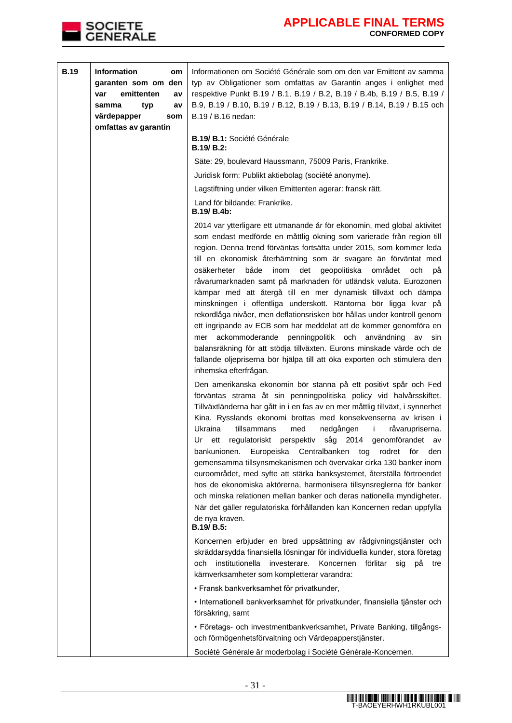

| <b>B.19</b> | Information<br>om<br>garanten som om den<br>emittenten<br>var<br>a٧<br>samma<br>typ<br>av<br>värdepapper<br>som<br>omfattas av garantin | Informationen om Société Générale som om den var Emittent av samma<br>typ av Obligationer som omfattas av Garantin anges i enlighet med<br>respektive Punkt B.19 / B.1, B.19 / B.2, B.19 / B.4b, B.19 / B.5, B.19 /<br>B.9, B.19 / B.10, B.19 / B.12, B.19 / B.13, B.19 / B.14, B.19 / B.15 och<br>B.19 / B.16 nedan:<br><b>B.19/ B.1: Société Générale</b><br>$B.19/B.2$ :                                                                                                                                                                                                                                                                                                                                                                                                                                                                                                                                                                                                       |
|-------------|-----------------------------------------------------------------------------------------------------------------------------------------|-----------------------------------------------------------------------------------------------------------------------------------------------------------------------------------------------------------------------------------------------------------------------------------------------------------------------------------------------------------------------------------------------------------------------------------------------------------------------------------------------------------------------------------------------------------------------------------------------------------------------------------------------------------------------------------------------------------------------------------------------------------------------------------------------------------------------------------------------------------------------------------------------------------------------------------------------------------------------------------|
|             |                                                                                                                                         | Säte: 29, boulevard Haussmann, 75009 Paris, Frankrike.                                                                                                                                                                                                                                                                                                                                                                                                                                                                                                                                                                                                                                                                                                                                                                                                                                                                                                                            |
|             |                                                                                                                                         | Juridisk form: Publikt aktiebolag (société anonyme).                                                                                                                                                                                                                                                                                                                                                                                                                                                                                                                                                                                                                                                                                                                                                                                                                                                                                                                              |
|             |                                                                                                                                         | Lagstiftning under vilken Emittenten agerar: fransk rätt.                                                                                                                                                                                                                                                                                                                                                                                                                                                                                                                                                                                                                                                                                                                                                                                                                                                                                                                         |
|             |                                                                                                                                         | Land för bildande: Frankrike.<br>B.19/ B.4b:                                                                                                                                                                                                                                                                                                                                                                                                                                                                                                                                                                                                                                                                                                                                                                                                                                                                                                                                      |
|             |                                                                                                                                         | 2014 var ytterligare ett utmanande år för ekonomin, med global aktivitet<br>som endast medförde en måttlig ökning som varierade från region till<br>region. Denna trend förväntas fortsätta under 2015, som kommer leda<br>till en ekonomisk återhämtning som är svagare än förväntat med<br>både<br>osäkerheter<br>inom<br>det<br>geopolitiska<br>området<br>och<br>рá<br>råvarumarknaden samt på marknaden för utländsk valuta. Eurozonen<br>kämpar med att återgå till en mer dynamisk tillväxt och dämpa<br>minskningen i offentliga underskott. Räntorna bör ligga kvar på<br>rekordlåga nivåer, men deflationsrisken bör hållas under kontroll genom<br>ett ingripande av ECB som har meddelat att de kommer genomföra en<br>ackommoderande penningpolitik och användning<br>av<br>sin<br>mer<br>balansräkning för att stödja tillväxten. Eurons minskade värde och de<br>fallande oljepriserna bör hjälpa till att öka exporten och stimulera den<br>inhemska efterfrågan. |
|             |                                                                                                                                         | Den amerikanska ekonomin bör stanna på ett positivt spår och Fed<br>förväntas strama åt sin penningpolitiska policy vid halvårsskiftet.<br>Tillväxtländerna har gått in i en fas av en mer måttlig tillväxt, i synnerhet<br>Kina. Rysslands ekonomi brottas med konsekvenserna av krisen i<br>Ukraina<br>tillsammans<br>med<br>nedgången<br>i.<br>råvarupriserna.<br>regulatoriskt perspektiv<br>såg 2014 genomförandet av<br>Ur<br>ett<br>bankunionen.<br>Europeiska<br>Centralbanken<br>tog<br>rodret<br>den<br>tör<br>gemensamma tillsynsmekanismen och övervakar cirka 130 banker inom<br>euroområdet, med syfte att stärka banksystemet, återställa förtroendet<br>hos de ekonomiska aktörerna, harmonisera tillsynsreglerna för banker<br>och minska relationen mellan banker och deras nationella myndigheter.<br>När det gäller regulatoriska förhållanden kan Koncernen redan uppfylla<br>de nya kraven.<br>B.19/ B.5:                                                   |
|             |                                                                                                                                         | Koncernen erbjuder en bred uppsättning av rådgivningstjänster och<br>skräddarsydda finansiella lösningar för individuella kunder, stora företag<br>institutionella<br>investerare.<br>Koncernen<br>förlitar<br>och<br>sig<br>рă<br>tre<br>kärnverksamheter som kompletterar varandra:<br>· Fransk bankverksamhet för privatkunder,                                                                                                                                                                                                                                                                                                                                                                                                                                                                                                                                                                                                                                                |
|             |                                                                                                                                         | · Internationell bankverksamhet för privatkunder, finansiella tjänster och<br>försäkring, samt                                                                                                                                                                                                                                                                                                                                                                                                                                                                                                                                                                                                                                                                                                                                                                                                                                                                                    |
|             |                                                                                                                                         | · Företags- och investmentbankverksamhet, Private Banking, tillgångs-<br>och förmögenhetsförvaltning och Värdepapperstjänster.                                                                                                                                                                                                                                                                                                                                                                                                                                                                                                                                                                                                                                                                                                                                                                                                                                                    |
|             |                                                                                                                                         | Société Générale är moderbolag i Société Générale-Koncernen.                                                                                                                                                                                                                                                                                                                                                                                                                                                                                                                                                                                                                                                                                                                                                                                                                                                                                                                      |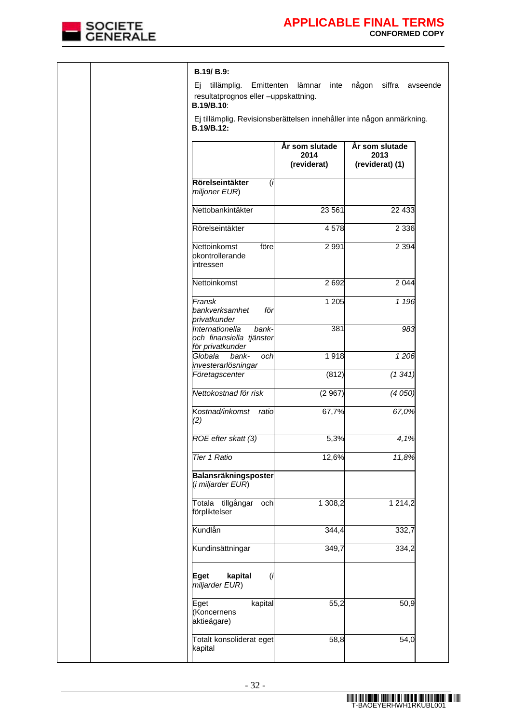

|  | B.19/ B.9:                                                                      |                                       |                                                                       |
|--|---------------------------------------------------------------------------------|---------------------------------------|-----------------------------------------------------------------------|
|  | tillämplig.<br>Ej.<br>resultatprognos eller -uppskattning.<br><b>B.19/B.10:</b> | Emittenten lämnar<br>inte             | någon siffra avseende                                                 |
|  | B.19/B.12:                                                                      |                                       | Ej tillämplig. Revisionsberättelsen innehåller inte någon anmärkning. |
|  |                                                                                 |                                       |                                                                       |
|  |                                                                                 | År som slutade<br>2014<br>(reviderat) | År som slutade<br>2013<br>(reviderat) (1)                             |
|  | Rörelseintäkter<br>(i<br>miljoner EUR)                                          |                                       |                                                                       |
|  | Nettobankintäkter                                                               | 23 561                                | 22 433                                                                |
|  | Rörelseintäkter                                                                 | 4578                                  | 2 3 3 6                                                               |
|  | Nettoinkomst<br>före<br>okontrollerande<br>lintressen                           | 2 9 9 1                               | 2 3 9 4                                                               |
|  | Nettoinkomst                                                                    | 2 6 9 2                               | 2 0 4 4                                                               |
|  | Fransk<br>bankverksamhet<br>för<br>privatkunder                                 | 1 205                                 | 1 1 9 6                                                               |
|  | Internationella<br>bank-<br>och finansiella tjänster<br>för privatkunder        | 381                                   | 983                                                                   |
|  | Globala<br>bank-<br>och<br>investerarlösningar                                  | 1918                                  | 1206                                                                  |
|  | Företagscenter                                                                  | (812)                                 | (1341)                                                                |
|  | Nettokostnad för risk                                                           | (2967)                                | (4050)                                                                |
|  | Kostnad/inkomst ratio<br>(2)                                                    | 67,7%                                 | 67,0%                                                                 |
|  | ROE efter skatt (3)                                                             | 5,3%                                  | 4,1%                                                                  |
|  | <b>Tier 1 Ratio</b>                                                             | 12,6%                                 | 11,8%                                                                 |
|  | Balansräkningsposter<br>(i miljarder EUR)                                       |                                       |                                                                       |
|  | Totala tillgångar<br>och<br>förpliktelser                                       | 1 308,2                               | 1 2 1 4 , 2                                                           |
|  | Kundlån                                                                         | 344,4                                 | 332,7                                                                 |
|  | Kundinsättningar                                                                | 349,7                                 | 334,2                                                                 |
|  | kapital<br>Eget<br>(i<br>miljarder EUR)                                         |                                       |                                                                       |
|  | kapital<br>Eget<br>(Koncernens<br>aktieägare)                                   | 55,2                                  | 50,9                                                                  |
|  | Totalt konsoliderat eget<br>kapital                                             | 58,8                                  | 54,0                                                                  |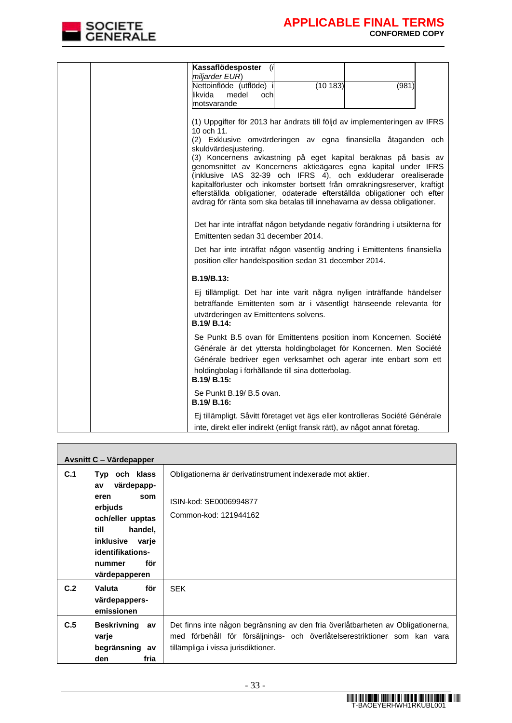

 $\mathbf{r}$ 

| Kassaflödesposter<br>(i)<br>miljarder EUR)                                                                                                                                                                                                                                                                                                                                                                                                                                                                                                      |
|-------------------------------------------------------------------------------------------------------------------------------------------------------------------------------------------------------------------------------------------------------------------------------------------------------------------------------------------------------------------------------------------------------------------------------------------------------------------------------------------------------------------------------------------------|
| (10183)<br>Nettoinflöde (utflöde) i<br>(981)<br>likvida<br>medel<br>och                                                                                                                                                                                                                                                                                                                                                                                                                                                                         |
| motsvarande                                                                                                                                                                                                                                                                                                                                                                                                                                                                                                                                     |
| (1) Uppgifter för 2013 har ändrats till följd av implementeringen av IFRS<br>10 och 11.<br>(2) Exklusive omvärderingen av egna finansiella åtaganden och<br>skuldvärdesjustering.<br>(3) Koncernens avkastning på eget kapital beräknas på basis av<br>genomsnittet av Koncernens aktieägares egna kapital under IFRS<br>(inklusive IAS 32-39 och IFRS 4), och exkluderar orealiserade<br>kapitalförluster och inkomster bortsett från omräkningsreserver, kraftigt<br>efterställda obligationer, odaterade efterställda obligationer och efter |
| avdrag för ränta som ska betalas till innehavarna av dessa obligationer.                                                                                                                                                                                                                                                                                                                                                                                                                                                                        |
| Det har inte inträffat någon betydande negativ förändring i utsikterna för<br>Emittenten sedan 31 december 2014.                                                                                                                                                                                                                                                                                                                                                                                                                                |
| Det har inte inträffat någon väsentlig ändring i Emittentens finansiella<br>position eller handelsposition sedan 31 december 2014.                                                                                                                                                                                                                                                                                                                                                                                                              |
| B.19/B.13:                                                                                                                                                                                                                                                                                                                                                                                                                                                                                                                                      |
| Ej tillämpligt. Det har inte varit några nyligen inträffande händelser<br>beträffande Emittenten som är i väsentligt hänseende relevanta för<br>utvärderingen av Emittentens solvens.<br>B.19/ B.14:                                                                                                                                                                                                                                                                                                                                            |
| Se Punkt B.5 ovan för Emittentens position inom Koncernen. Société                                                                                                                                                                                                                                                                                                                                                                                                                                                                              |
| Générale är det yttersta holdingbolaget för Koncernen. Men Société<br>Générale bedriver egen verksamhet och agerar inte enbart som ett                                                                                                                                                                                                                                                                                                                                                                                                          |
| holdingbolag i förhållande till sina dotterbolag.<br>B.19/ B.15:                                                                                                                                                                                                                                                                                                                                                                                                                                                                                |
| Se Punkt B.19/ B.5 ovan.<br>B.19/ B.16:                                                                                                                                                                                                                                                                                                                                                                                                                                                                                                         |
| Ej tillämpligt. Såvitt företaget vet ägs eller kontrolleras Société Générale<br>inte, direkt eller indirekt (enligt fransk rätt), av något annat företag.                                                                                                                                                                                                                                                                                                                                                                                       |

|     | Avsnitt C - Värdepapper                                                                                                                                                        |                                                                                                                                                                                                     |
|-----|--------------------------------------------------------------------------------------------------------------------------------------------------------------------------------|-----------------------------------------------------------------------------------------------------------------------------------------------------------------------------------------------------|
| C.1 | Typ och klass<br>värdepapp-<br>av<br>eren<br>som<br>erbjuds<br>och/eller upptas<br>handel,<br>till<br>inklusive<br>varje<br>identifikations-<br>för<br>nummer<br>värdepapperen | Obligationerna är derivatinstrument indexerade mot aktier.<br>ISIN-kod: SE0006994877<br>Common-kod: 121944162                                                                                       |
| C.2 | för<br>Valuta<br>värdepappers-<br>emissionen                                                                                                                                   | <b>SEK</b>                                                                                                                                                                                          |
| C.5 | <b>Beskrivning</b><br>av<br>varje<br>begränsning av<br>fria<br>den                                                                                                             | Det finns inte någon begränsning av den fria överlåtbarheten av Obligationerna,<br>med förbehåll för försäljnings- och överlåtelserestriktioner som kan vara<br>tillämpliga i vissa jurisdiktioner. |

ń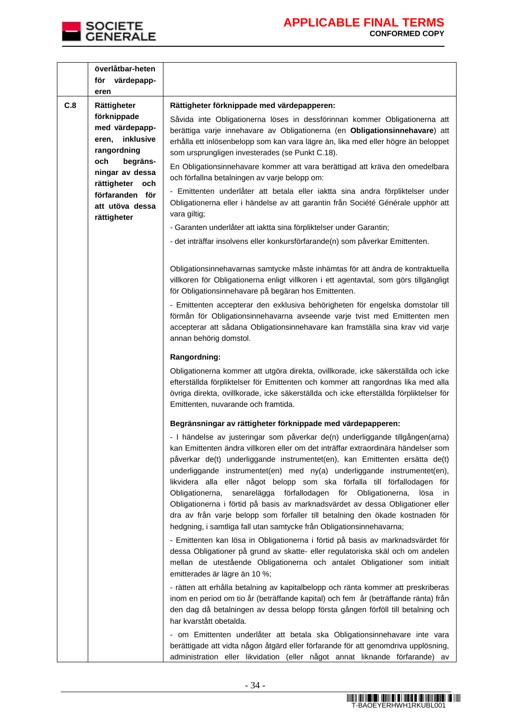

|     | överlåtbar-heten<br>för värdepapp-                                 |                                                                                                                                                                                                                                                                                                                                                                                                                                                                                                                                                                                                                                                                                                                                                      |
|-----|--------------------------------------------------------------------|------------------------------------------------------------------------------------------------------------------------------------------------------------------------------------------------------------------------------------------------------------------------------------------------------------------------------------------------------------------------------------------------------------------------------------------------------------------------------------------------------------------------------------------------------------------------------------------------------------------------------------------------------------------------------------------------------------------------------------------------------|
|     | eren                                                               |                                                                                                                                                                                                                                                                                                                                                                                                                                                                                                                                                                                                                                                                                                                                                      |
| C.8 | Rättigheter                                                        | Rättigheter förknippade med värdepapperen:                                                                                                                                                                                                                                                                                                                                                                                                                                                                                                                                                                                                                                                                                                           |
|     | förknippade<br>med värdepapp-<br>inklusive<br>eren,<br>rangordning | Såvida inte Obligationerna löses in dessförinnan kommer Obligationerna att<br>berättiga varje innehavare av Obligationerna (en Obligationsinnehavare) att<br>erhålla ett inlösenbelopp som kan vara lägre än, lika med eller högre än beloppet<br>som ursprungligen investerades (se Punkt C.18).                                                                                                                                                                                                                                                                                                                                                                                                                                                    |
|     | och<br>begräns-<br>ningar av dessa<br>rättigheter och              | En Obligationsinnehavare kommer att vara berättigad att kräva den omedelbara<br>och förfallna betalningen av varje belopp om:                                                                                                                                                                                                                                                                                                                                                                                                                                                                                                                                                                                                                        |
|     | förfaranden för<br>att utöva dessa<br>rättigheter                  | - Emittenten underlåter att betala eller iaktta sina andra förpliktelser under<br>Obligationerna eller i händelse av att garantin från Société Générale upphör att<br>vara giltig;                                                                                                                                                                                                                                                                                                                                                                                                                                                                                                                                                                   |
|     |                                                                    | - Garanten underlåter att iaktta sina förpliktelser under Garantin;                                                                                                                                                                                                                                                                                                                                                                                                                                                                                                                                                                                                                                                                                  |
|     |                                                                    | - det inträffar insolvens eller konkursförfarande(n) som påverkar Emittenten.                                                                                                                                                                                                                                                                                                                                                                                                                                                                                                                                                                                                                                                                        |
|     |                                                                    | Obligationsinnehavarnas samtycke måste inhämtas för att ändra de kontraktuella<br>villkoren för Obligationerna enligt villkoren i ett agentavtal, som görs tillgängligt<br>för Obligationsinnehavare på begäran hos Emittenten.                                                                                                                                                                                                                                                                                                                                                                                                                                                                                                                      |
|     |                                                                    | - Emittenten accepterar den exklusiva behörigheten för engelska domstolar till<br>förmån för Obligationsinnehavarna avseende varje tvist med Emittenten men<br>accepterar att sådana Obligationsinnehavare kan framställa sina krav vid varje<br>annan behörig domstol.                                                                                                                                                                                                                                                                                                                                                                                                                                                                              |
|     |                                                                    | Rangordning:                                                                                                                                                                                                                                                                                                                                                                                                                                                                                                                                                                                                                                                                                                                                         |
|     |                                                                    | Obligationerna kommer att utgöra direkta, ovillkorade, icke säkerställda och icke<br>efterställda förpliktelser för Emittenten och kommer att rangordnas lika med alla<br>övriga direkta, ovillkorade, icke säkerställda och icke efterställda förpliktelser för<br>Emittenten, nuvarande och framtida.                                                                                                                                                                                                                                                                                                                                                                                                                                              |
|     |                                                                    | Begränsningar av rättigheter förknippade med värdepapperen:                                                                                                                                                                                                                                                                                                                                                                                                                                                                                                                                                                                                                                                                                          |
|     |                                                                    | - I händelse av justeringar som påverkar de(n) underliggande tillgången(arna)<br>kan Emittenten ändra villkoren eller om det inträffar extraordinära händelser som<br>påverkar de(t) underliggande instrumentet(en), kan Emittenten ersätta de(t)<br>underliggande instrumentet(en) med ny(a) underliggande instrumentet(en),<br>likvidera alla eller något belopp som ska förfalla till förfallodagen för<br>senarelägga förfallodagen<br>Obligationerna,<br>för<br>Obligationerna,<br>lösa<br><i>in</i><br>Obligationerna i förtid på basis av marknadsvärdet av dessa Obligationer eller<br>dra av från varje belopp som förfaller till betalning den ökade kostnaden för<br>hedgning, i samtliga fall utan samtycke från Obligationsinnehavarna; |
|     |                                                                    | - Emittenten kan lösa in Obligationerna i förtid på basis av marknadsvärdet för<br>dessa Obligationer på grund av skatte- eller regulatoriska skäl och om andelen<br>mellan de utestående Obligationerna och antalet Obligationer som initialt<br>emitterades är lägre än 10 %;                                                                                                                                                                                                                                                                                                                                                                                                                                                                      |
|     |                                                                    | - rätten att erhålla betalning av kapitalbelopp och ränta kommer att preskriberas<br>inom en period om tio år (beträffande kapital) och fem år (beträffande ränta) från<br>den dag då betalningen av dessa belopp första gången förföll till betalning och<br>har kvarstått obetalda.                                                                                                                                                                                                                                                                                                                                                                                                                                                                |
|     |                                                                    | - om Emittenten underlåter att betala ska Obligationsinnehavare inte vara<br>berättigade att vidta någon åtgärd eller förfarande för att genomdriva upplösning,<br>administration eller likvidation (eller något annat liknande förfarande) av                                                                                                                                                                                                                                                                                                                                                                                                                                                                                                       |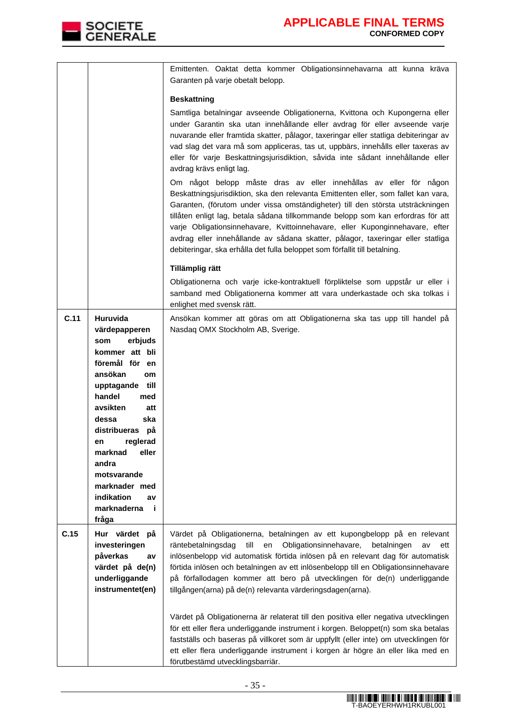

|      |                                    | Emittenten. Oaktat detta kommer Obligationsinnehavarna att kunna kräva<br>Garanten på varje obetalt belopp.                                                                                                                                                                                                                                                                                                                                                                                                                                                                    |
|------|------------------------------------|--------------------------------------------------------------------------------------------------------------------------------------------------------------------------------------------------------------------------------------------------------------------------------------------------------------------------------------------------------------------------------------------------------------------------------------------------------------------------------------------------------------------------------------------------------------------------------|
|      |                                    | <b>Beskattning</b>                                                                                                                                                                                                                                                                                                                                                                                                                                                                                                                                                             |
|      |                                    | Samtliga betalningar avseende Obligationerna, Kvittona och Kupongerna eller<br>under Garantin ska utan innehållande eller avdrag för eller avseende varje<br>nuvarande eller framtida skatter, pålagor, taxeringar eller statliga debiteringar av<br>vad slag det vara må som appliceras, tas ut, uppbärs, innehålls eller taxeras av<br>eller för varje Beskattningsjurisdiktion, såvida inte sådant innehållande eller<br>avdrag krävs enligt lag.                                                                                                                           |
|      |                                    | Om något belopp måste dras av eller innehållas av eller för någon<br>Beskattningsjurisdiktion, ska den relevanta Emittenten eller, som fallet kan vara,<br>Garanten, (förutom under vissa omständigheter) till den största utsträckningen<br>tillåten enligt lag, betala sådana tillkommande belopp som kan erfordras för att<br>varje Obligationsinnehavare, Kvittoinnehavare, eller Kuponginnehavare, efter<br>avdrag eller innehållande av sådana skatter, pålagor, taxeringar eller statliga<br>debiteringar, ska erhålla det fulla beloppet som förfallit till betalning. |
|      |                                    | Tillämplig rätt                                                                                                                                                                                                                                                                                                                                                                                                                                                                                                                                                                |
|      |                                    | Obligationerna och varje icke-kontraktuell förpliktelse som uppstår ur eller i<br>samband med Obligationerna kommer att vara underkastade och ska tolkas i<br>enlighet med svensk rätt.                                                                                                                                                                                                                                                                                                                                                                                        |
| C.11 | Huruvida                           | Ansökan kommer att göras om att Obligationerna ska tas upp till handel på                                                                                                                                                                                                                                                                                                                                                                                                                                                                                                      |
|      | värdepapperen                      | Nasdaq OMX Stockholm AB, Sverige.                                                                                                                                                                                                                                                                                                                                                                                                                                                                                                                                              |
|      | erbjuds<br>som<br>kommer att bli   |                                                                                                                                                                                                                                                                                                                                                                                                                                                                                                                                                                                |
|      | föremål för en                     |                                                                                                                                                                                                                                                                                                                                                                                                                                                                                                                                                                                |
|      | ansökan<br>om                      |                                                                                                                                                                                                                                                                                                                                                                                                                                                                                                                                                                                |
|      | till<br>upptagande                 |                                                                                                                                                                                                                                                                                                                                                                                                                                                                                                                                                                                |
|      | handel<br>med                      |                                                                                                                                                                                                                                                                                                                                                                                                                                                                                                                                                                                |
|      | avsikten<br>att                    |                                                                                                                                                                                                                                                                                                                                                                                                                                                                                                                                                                                |
|      | dessa<br>ska                       |                                                                                                                                                                                                                                                                                                                                                                                                                                                                                                                                                                                |
|      | distribueras<br>рå                 |                                                                                                                                                                                                                                                                                                                                                                                                                                                                                                                                                                                |
|      | reglerad<br>en<br>marknad<br>eller |                                                                                                                                                                                                                                                                                                                                                                                                                                                                                                                                                                                |
|      | andra                              |                                                                                                                                                                                                                                                                                                                                                                                                                                                                                                                                                                                |
|      | motsvarande                        |                                                                                                                                                                                                                                                                                                                                                                                                                                                                                                                                                                                |
|      | marknader med                      |                                                                                                                                                                                                                                                                                                                                                                                                                                                                                                                                                                                |
|      | indikation<br>av                   |                                                                                                                                                                                                                                                                                                                                                                                                                                                                                                                                                                                |
|      | marknaderna<br>-i<br>fråga         |                                                                                                                                                                                                                                                                                                                                                                                                                                                                                                                                                                                |
| C.15 | Hur värdet på                      | Värdet på Obligationerna, betalningen av ett kupongbelopp på en relevant                                                                                                                                                                                                                                                                                                                                                                                                                                                                                                       |
|      | investeringen                      | till<br>Obligationsinnehavare,<br>räntebetalningsdag<br>betalningen<br>en<br>av<br>ett                                                                                                                                                                                                                                                                                                                                                                                                                                                                                         |
|      | påverkas<br>av                     | inlösenbelopp vid automatisk förtida inlösen på en relevant dag för automatisk                                                                                                                                                                                                                                                                                                                                                                                                                                                                                                 |
|      | värdet på de(n)                    | förtida inlösen och betalningen av ett inlösenbelopp till en Obligationsinnehavare                                                                                                                                                                                                                                                                                                                                                                                                                                                                                             |
|      | underliggande                      | på förfallodagen kommer att bero på utvecklingen för de(n) underliggande                                                                                                                                                                                                                                                                                                                                                                                                                                                                                                       |
|      | instrumentet(en)                   | tillgången(arna) på de(n) relevanta värderingsdagen(arna).                                                                                                                                                                                                                                                                                                                                                                                                                                                                                                                     |
|      |                                    | Värdet på Obligationerna är relaterat till den positiva eller negativa utvecklingen<br>för ett eller flera underliggande instrument i korgen. Beloppet(n) som ska betalas                                                                                                                                                                                                                                                                                                                                                                                                      |
|      |                                    | fastställs och baseras på villkoret som är uppfyllt (eller inte) om utvecklingen för                                                                                                                                                                                                                                                                                                                                                                                                                                                                                           |
|      |                                    | ett eller flera underliggande instrument i korgen är högre än eller lika med en                                                                                                                                                                                                                                                                                                                                                                                                                                                                                                |
|      |                                    | förutbestämd utvecklingsbarriär.                                                                                                                                                                                                                                                                                                                                                                                                                                                                                                                                               |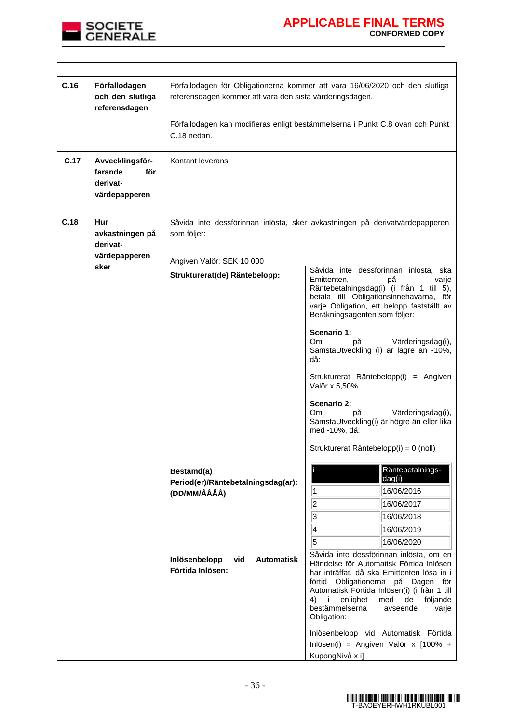

| C.16 | Förfallodagen<br>och den slutliga<br>referensdagen             | Förfallodagen för Obligationerna kommer att vara 16/06/2020 och den slutliga<br>referensdagen kommer att vara den sista värderingsdagen.<br>Förfallodagen kan modifieras enligt bestämmelserna i Punkt C.8 ovan och Punkt<br>C.18 nedan. |                                                                                                                                                                                                                                                                                                                                                                                                                                                                                                                                                                                                                                                |
|------|----------------------------------------------------------------|------------------------------------------------------------------------------------------------------------------------------------------------------------------------------------------------------------------------------------------|------------------------------------------------------------------------------------------------------------------------------------------------------------------------------------------------------------------------------------------------------------------------------------------------------------------------------------------------------------------------------------------------------------------------------------------------------------------------------------------------------------------------------------------------------------------------------------------------------------------------------------------------|
| C.17 | Avvecklingsför-<br>farande<br>för<br>derivat-<br>värdepapperen | Kontant leverans                                                                                                                                                                                                                         |                                                                                                                                                                                                                                                                                                                                                                                                                                                                                                                                                                                                                                                |
| C.18 | Hur<br>avkastningen på<br>derivat-<br>värdepapperen<br>sker    | som följer:<br>Angiven Valör: SEK 10 000<br>Strukturerat(de) Räntebelopp:                                                                                                                                                                | Såvida inte dessförinnan inlösta, sker avkastningen på derivatvärdepapperen<br>Såvida inte dessförinnan inlösta, ska<br>Emittenten,<br>рå<br>varje<br>Räntebetalningsdag(i) (i från 1 till 5),<br>betala till Obligationsinnehavarna, för<br>varje Obligation, ett belopp fastställt av<br>Beräkningsagenten som följer:<br>Scenario 1:<br>Om.<br>рå<br>Värderingsdag(i),<br>SämstaUtveckling (i) är lägre än -10%,<br>då:<br>Strukturerat Räntebelopp(i) = Angiven<br>Valör x 5,50%<br>Scenario 2:<br>Om.<br>Värderingsdag(i),<br>рă<br>SämstaUtveckling(i) är högre än eller lika<br>med -10%, då:<br>Strukturerat Räntebelopp(i) = 0 (noll) |
|      |                                                                | Bestämd(a)<br>Period(er)/Räntebetalningsdag(ar):<br>(DD/MM/ÅÅÅÅ)<br><b>Automatisk</b><br>Inlösenbelopp<br>vid<br>Förtida Inlösen:                                                                                                        | Räntebetalnings-<br>dag(i)<br>16/06/2016<br>1<br>$\overline{\mathbf{c}}$<br>16/06/2017<br>3<br>16/06/2018<br>4<br>16/06/2019<br>5<br>16/06/2020<br>Såvida inte dessförinnan inlösta, om en<br>Händelse för Automatisk Förtida Inlösen<br>har inträffat, då ska Emittenten lösa in i<br>förtid Obligationerna på Dagen för<br>Automatisk Förtida Inlösen(i) (i från 1 till<br>med<br>de<br>$4)$ i<br>enlighet<br>följande<br>bestämmelserna<br>avseende<br>varje<br>Obligation:<br>Inlösenbelopp vid Automatisk Förtida<br>Inlösen(i) = Angiven Valör x [100% +<br>KupongNivå x i]                                                              |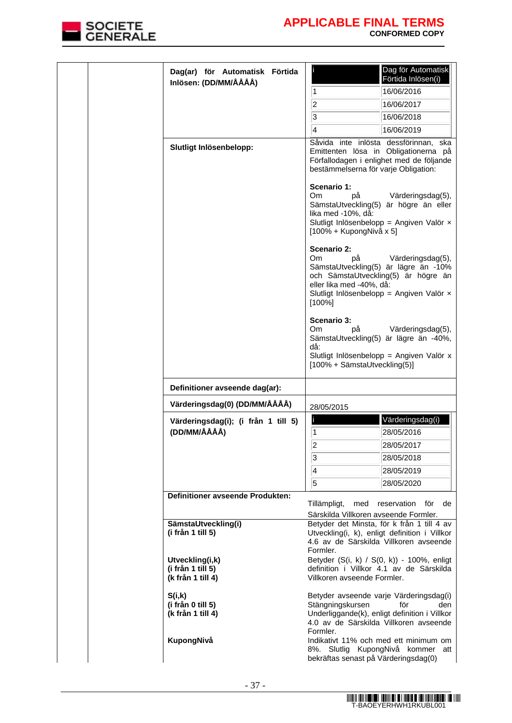

|  | Dag(ar) för Automatisk Förtida<br>Inlösen: (DD/MM/ÅÅÅÅ)   |                                                                           | Dag för Automatisk<br>Förtida Inlösen(i)                                                                                                            |
|--|-----------------------------------------------------------|---------------------------------------------------------------------------|-----------------------------------------------------------------------------------------------------------------------------------------------------|
|  |                                                           | 1                                                                         | 16/06/2016                                                                                                                                          |
|  |                                                           | $\overline{2}$                                                            | 16/06/2017                                                                                                                                          |
|  |                                                           | 3                                                                         | 16/06/2018                                                                                                                                          |
|  |                                                           | 4                                                                         | 16/06/2019                                                                                                                                          |
|  | Slutligt Inlösenbelopp:                                   | bestämmelserna för varje Obligation:                                      | Såvida inte inlösta dessförinnan, ska<br>Emittenten lösa in Obligationerna på<br>Förfallodagen i enlighet med de följande                           |
|  |                                                           | Scenario 1:<br>Om.<br>рå<br>lika med -10%, då:<br>[100% + KupongNivå x 5] | Värderingsdag(5),<br>SämstaUtveckling(5) är högre än eller<br>Slutligt Inlösenbelopp = Angiven Valör x                                              |
|  |                                                           | Scenario 2:<br>Om.<br>рå<br>eller lika med -40%, då:<br>[100%]            | Värderingsdag(5),<br>SämstaUtveckling(5) är lägre än -10%<br>och SämstaUtveckling(5) är högre än<br>Slutligt Inlösenbelopp = Angiven Valör $\times$ |
|  |                                                           | Scenario 3:<br>Om<br>рå<br>då:<br>[100% + SämstaUtveckling(5)]            | Värderingsdag(5),<br>SämstaUtveckling(5) är lägre än -40%,<br>Slutligt Inlösenbelopp = Angiven Valör x                                              |
|  | Definitioner avseende dag(ar):                            |                                                                           |                                                                                                                                                     |
|  | Värderingsdag(0) (DD/MM/ÅÅÅÅ)                             | 28/05/2015                                                                |                                                                                                                                                     |
|  | Värderingsdag(i); (i från 1 till 5)                       | I                                                                         | Värderingsdag(i)                                                                                                                                    |
|  | (DD/MM/ÅÅÅÅ)                                              | 1                                                                         | 28/05/2016                                                                                                                                          |
|  |                                                           | $\overline{2}$                                                            | 28/05/2017                                                                                                                                          |
|  |                                                           | 3                                                                         | 28/05/2018                                                                                                                                          |
|  |                                                           | 4                                                                         | 28/05/2019                                                                                                                                          |
|  |                                                           | 5                                                                         | 28/05/2020                                                                                                                                          |
|  | Definitioner avseende Produkten:                          |                                                                           |                                                                                                                                                     |
|  |                                                           | Tillämpligt,<br>med                                                       | reservation<br>för<br>de                                                                                                                            |
|  | SämstaUtveckling(i)                                       | Särskilda Villkoren avseende Formler.                                     | Betyder det Minsta, för k från 1 till 4 av                                                                                                          |
|  | (i från 1 till 5)                                         | Formler.                                                                  | Utveckling(i, k), enligt definition i Villkor<br>4.6 av de Särskilda Villkoren avseende                                                             |
|  | Utveckling(i,k)<br>(i från 1 till 5)<br>(k från 1 till 4) | Villkoren avseende Formler.                                               | Betyder (S(i, k) / S(0, k)) - 100%, enligt<br>definition i Villkor 4.1 av de Särskilda                                                              |
|  | S(i,k)<br>(i från 0 till 5)<br>(k från 1 till 4)          | Stängningskursen<br>Formler.                                              | Betyder avseende varje Värderingsdag(i)<br>för<br>den<br>Underliggande(k), enligt definition i Villkor<br>4.0 av de Särskilda Villkoren avseende    |
|  | KupongNivå                                                | bekräftas senast på Värderingsdag(0)                                      | Indikativt 11% och med ett minimum om<br>8%. Slutlig KupongNivå kommer att                                                                          |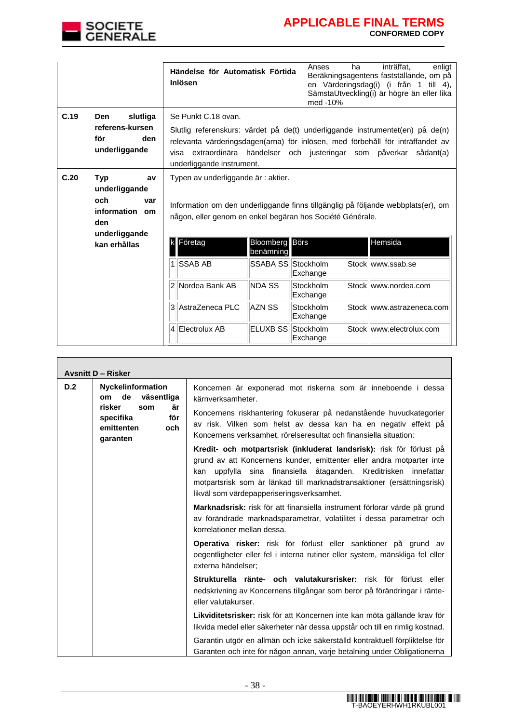

|      |                                                                                           | Händelse för Automatisk Förtida<br>Inlösen                                                       |                                    | Anses<br>ha<br>med -10% | inträffat.<br>enligt<br>Beräkningsagentens fastställande, om på<br>en Värderingsdag(i) (i från 1 till 4),<br>SämstaUtveckling(i) är högre än eller lika                                                                                |
|------|-------------------------------------------------------------------------------------------|--------------------------------------------------------------------------------------------------|------------------------------------|-------------------------|----------------------------------------------------------------------------------------------------------------------------------------------------------------------------------------------------------------------------------------|
| C.19 | slutliga<br><b>Den</b><br>referens-kursen<br>för<br>den<br>underliggande                  | Se Punkt C.18 ovan.<br>underliggande instrument.                                                 |                                    |                         | Slutlig referenskurs: värdet på de(t) underliggande instrumentet(en) på de(n)<br>relevanta värderingsdagen(arna) för inlösen, med förbehåll för inträffandet av<br>visa extraordinära händelser och justeringar som påverkar sådant(a) |
| C.20 | <b>Typ</b><br>av<br>underliggande<br>och<br>var<br>information om<br>den<br>underliggande | Typen av underliggande är : aktier.<br>någon, eller genom en enkel begäran hos Société Générale. |                                    |                         | Information om den underliggande finns tillgänglig på följande webbplats(er), om                                                                                                                                                       |
|      | kan erhållas                                                                              | Företag                                                                                          | <b>Bloomberg</b> Börs<br>benämning |                         | Hemsida                                                                                                                                                                                                                                |
|      |                                                                                           | 1 SSAB AB                                                                                        | SSABA SS Stockholm                 | Exchange                | Stock www.ssab.se                                                                                                                                                                                                                      |
|      |                                                                                           | Nordea Bank AB<br>2                                                                              | <b>NDA SS</b>                      | Stockholm<br>Exchange   | Stock www.nordea.com                                                                                                                                                                                                                   |
|      |                                                                                           | 3 AstraZeneca PLC                                                                                | AZN SS                             | Stockholm<br>Exchange   | Stock www.astrazeneca.com                                                                                                                                                                                                              |
|      |                                                                                           | $\overline{4}$<br>Electrolux AB                                                                  | ELUXB SS Stockholm                 | Exchange                | Stock www.electrolux.com                                                                                                                                                                                                               |

|     | <b>Avsnitt D - Risker</b>                                                                                            |                                                                                                                                                                                                                                                                                                                                              |
|-----|----------------------------------------------------------------------------------------------------------------------|----------------------------------------------------------------------------------------------------------------------------------------------------------------------------------------------------------------------------------------------------------------------------------------------------------------------------------------------|
| D.2 | Nyckelinformation<br>de väsentliga<br>om<br>risker<br>är<br>som<br>för<br>specifika<br>emittenten<br>och<br>garanten | Koncernen är exponerad mot riskerna som är inneboende i dessa<br>kärnverksamheter.<br>Koncernens riskhantering fokuserar på nedanstående huvudkategorier<br>av risk. Vilken som helst av dessa kan ha en negativ effekt på<br>Koncernens verksamhet, rörelseresultat och finansiella situation:                                              |
|     |                                                                                                                      | Kredit- och motpartsrisk (inkluderat landsrisk): risk för förlust på<br>grund av att Koncernens kunder, emittenter eller andra motparter inte<br>uppfylla sina finansiella åtaganden. Kreditrisken innefattar<br>kan<br>motpartsrisk som är länkad till marknadstransaktioner (ersättningsrisk)<br>likväl som värdepapperiseringsverksamhet. |
|     |                                                                                                                      | Marknadsrisk: risk för att finansiella instrument förlorar värde på grund<br>av förändrade marknadsparametrar, volatilitet i dessa parametrar och<br>korrelationer mellan dessa.                                                                                                                                                             |
|     |                                                                                                                      | Operativa risker: risk för förlust eller sanktioner på grund av<br>oegentligheter eller fel i interna rutiner eller system, mänskliga fel eller<br>externa händelser;                                                                                                                                                                        |
|     |                                                                                                                      | Strukturella ränte- och valutakursrisker: risk för förlust eller<br>nedskrivning av Koncernens tillgångar som beror på förändringar i ränte-<br>eller valutakurser.                                                                                                                                                                          |
|     |                                                                                                                      | Likviditetsrisker: risk för att Koncernen inte kan möta gällande krav för<br>likvida medel eller säkerheter när dessa uppstår och till en rimlig kostnad.                                                                                                                                                                                    |
|     |                                                                                                                      | Garantin utgör en allmän och icke säkerställd kontraktuell förpliktelse för<br>Garanten och inte för någon annan, varje betalning under Obligationerna                                                                                                                                                                                       |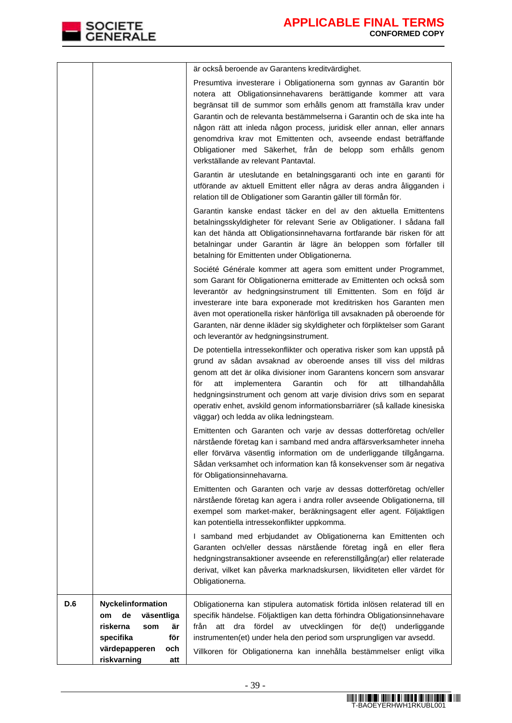|  | operativ enhet, avskild genom informationsbarriärer (så kallade kinesiska<br>väggar) och ledda av olika ledningsteam.<br>Emittenten och Garanten och varje av dessas dotterföretag och/eller<br>närstående företag kan i samband med andra affärsverksamheter inneha<br>eller förvärva väsentlig information om de underliggande tillgångarna.<br>Sådan verksamhet och information kan få konsekvenser som är negativa<br>för Obligationsinnehavarna.                  |
|--|------------------------------------------------------------------------------------------------------------------------------------------------------------------------------------------------------------------------------------------------------------------------------------------------------------------------------------------------------------------------------------------------------------------------------------------------------------------------|
|  |                                                                                                                                                                                                                                                                                                                                                                                                                                                                        |
|  |                                                                                                                                                                                                                                                                                                                                                                                                                                                                        |
|  |                                                                                                                                                                                                                                                                                                                                                                                                                                                                        |
|  | för<br>implementera<br>Garantin<br>och<br>tillhandahålla<br>för<br>att<br>att<br>hedgningsinstrument och genom att varje division drivs som en separat                                                                                                                                                                                                                                                                                                                 |
|  | grund av sådan avsaknad av oberoende anses till viss del mildras<br>genom att det är olika divisioner inom Garantens koncern som ansvarar                                                                                                                                                                                                                                                                                                                              |
|  | och leverantör av hedgningsinstrument.<br>De potentiella intressekonflikter och operativa risker som kan uppstå på                                                                                                                                                                                                                                                                                                                                                     |
|  | även mot operationella risker hänförliga till avsaknaden på oberoende för<br>Garanten, när denne ikläder sig skyldigheter och förpliktelser som Garant                                                                                                                                                                                                                                                                                                                 |
|  | som Garant för Obligationerna emitterade av Emittenten och också som<br>leverantör av hedgningsinstrument till Emittenten. Som en följd är<br>investerare inte bara exponerade mot kreditrisken hos Garanten men                                                                                                                                                                                                                                                       |
|  | betalning för Emittenten under Obligationerna.<br>Société Générale kommer att agera som emittent under Programmet,                                                                                                                                                                                                                                                                                                                                                     |
|  | Garantin kanske endast täcker en del av den aktuella Emittentens<br>betalningsskyldigheter för relevant Serie av Obligationer. I sådana fall<br>kan det hända att Obligationsinnehavarna fortfarande bär risken för att<br>betalningar under Garantin är lägre än beloppen som förfaller till                                                                                                                                                                          |
|  | Garantin är uteslutande en betalningsgaranti och inte en garanti för<br>utförande av aktuell Emittent eller några av deras andra åligganden i<br>relation till de Obligationer som Garantin gäller till förmån för.                                                                                                                                                                                                                                                    |
|  | notera att Obligationsinnehavarens berättigande kommer att vara<br>begränsat till de summor som erhålls genom att framställa krav under<br>Garantin och de relevanta bestämmelserna i Garantin och de ska inte ha<br>någon rätt att inleda någon process, juridisk eller annan, eller annars<br>genomdriva krav mot Emittenten och, avseende endast beträffande<br>Obligationer med Säkerhet, från de belopp som erhålls genom<br>verkställande av relevant Pantavtal. |
|  | är också beroende av Garantens kreditvärdighet.<br>Presumtiva investerare i Obligationerna som gynnas av Garantin bör                                                                                                                                                                                                                                                                                                                                                  |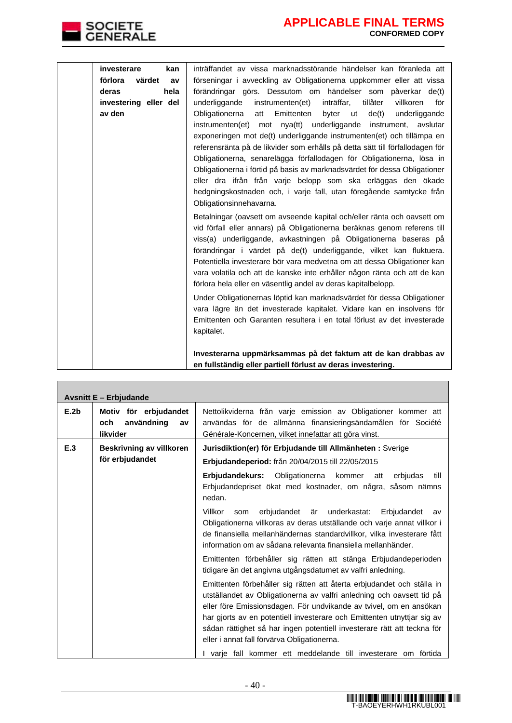

| investerare<br>kan      | inträffandet av vissa marknadsstörande händelser kan föranleda att                                                                                                                                                                                                                                                                                                                                                                                                                                                                                                                                                                                                                                                                                                |
|-------------------------|-------------------------------------------------------------------------------------------------------------------------------------------------------------------------------------------------------------------------------------------------------------------------------------------------------------------------------------------------------------------------------------------------------------------------------------------------------------------------------------------------------------------------------------------------------------------------------------------------------------------------------------------------------------------------------------------------------------------------------------------------------------------|
| förlora<br>värdet<br>av | förseningar i avveckling av Obligationerna uppkommer eller att vissa                                                                                                                                                                                                                                                                                                                                                                                                                                                                                                                                                                                                                                                                                              |
| hela<br>deras           | förändringar görs. Dessutom om händelser som påverkar de(t)                                                                                                                                                                                                                                                                                                                                                                                                                                                                                                                                                                                                                                                                                                       |
| investering eller del   | inträffar,<br>tillåter<br>underliggande<br>instrumenten(et)<br>för<br>villkoren                                                                                                                                                                                                                                                                                                                                                                                                                                                                                                                                                                                                                                                                                   |
| av den                  | Obligationerna<br>Emittenten<br>byter<br>ut<br>de(t)<br>underliggande<br>att                                                                                                                                                                                                                                                                                                                                                                                                                                                                                                                                                                                                                                                                                      |
|                         | instrumenten(et) mot nya(tt) underliggande instrument, avslutar                                                                                                                                                                                                                                                                                                                                                                                                                                                                                                                                                                                                                                                                                                   |
|                         | exponeringen mot de(t) underliggande instrumenten(et) och tillämpa en                                                                                                                                                                                                                                                                                                                                                                                                                                                                                                                                                                                                                                                                                             |
|                         | referensränta på de likvider som erhålls på detta sätt till förfallodagen för                                                                                                                                                                                                                                                                                                                                                                                                                                                                                                                                                                                                                                                                                     |
|                         | Obligationerna, senarelägga förfallodagen för Obligationerna, lösa in                                                                                                                                                                                                                                                                                                                                                                                                                                                                                                                                                                                                                                                                                             |
|                         | Obligationerna i förtid på basis av marknadsvärdet för dessa Obligationer                                                                                                                                                                                                                                                                                                                                                                                                                                                                                                                                                                                                                                                                                         |
|                         | eller dra ifrån från varje belopp som ska erläggas den ökade                                                                                                                                                                                                                                                                                                                                                                                                                                                                                                                                                                                                                                                                                                      |
|                         | hedgningskostnaden och, i varje fall, utan föregående samtycke från                                                                                                                                                                                                                                                                                                                                                                                                                                                                                                                                                                                                                                                                                               |
|                         | Obligationsinnehavarna.                                                                                                                                                                                                                                                                                                                                                                                                                                                                                                                                                                                                                                                                                                                                           |
|                         | Betalningar (oavsett om avseende kapital och/eller ränta och oavsett om<br>vid förfall eller annars) på Obligationerna beräknas genom referens till<br>viss(a) underliggande, avkastningen på Obligationerna baseras på<br>förändringar i värdet på de(t) underliggande, vilket kan fluktuera.<br>Potentiella investerare bör vara medvetna om att dessa Obligationer kan<br>vara volatila och att de kanske inte erhåller någon ränta och att de kan<br>förlora hela eller en väsentlig andel av deras kapitalbelopp.<br>Under Obligationernas löptid kan marknadsvärdet för dessa Obligationer<br>vara lägre än det investerade kapitalet. Vidare kan en insolvens för<br>Emittenten och Garanten resultera i en total förlust av det investerade<br>kapitalet. |
|                         | Investerarna uppmärksammas på det faktum att de kan drabbas av                                                                                                                                                                                                                                                                                                                                                                                                                                                                                                                                                                                                                                                                                                    |
|                         | en fullständig eller partiell förlust av deras investering.                                                                                                                                                                                                                                                                                                                                                                                                                                                                                                                                                                                                                                                                                                       |

|                                 | <b>Avsnitt E - Erbjudande</b>                                |                                                                                                                                                                                                                                                                                                                                                                                                                                                                                                                                                                       |
|---------------------------------|--------------------------------------------------------------|-----------------------------------------------------------------------------------------------------------------------------------------------------------------------------------------------------------------------------------------------------------------------------------------------------------------------------------------------------------------------------------------------------------------------------------------------------------------------------------------------------------------------------------------------------------------------|
| E.2 <sub>b</sub>                | Motiv för erbjudandet<br>användning<br>och<br>av<br>likvider | Nettolikviderna från varje emission av Obligationer kommer att<br>användas för de allmänna finansieringsändamålen för Société<br>Générale-Koncernen, vilket innefattar att göra vinst.                                                                                                                                                                                                                                                                                                                                                                                |
| E.3<br>Beskrivning av villkoren |                                                              | Jurisdiktion(er) för Erbjudande till Allmänheten : Sverige                                                                                                                                                                                                                                                                                                                                                                                                                                                                                                            |
|                                 | för erbjudandet                                              | Erbjudandeperiod: från 20/04/2015 till 22/05/2015                                                                                                                                                                                                                                                                                                                                                                                                                                                                                                                     |
|                                 |                                                              | Erbjudandekurs: Obligationerna kommer<br>erbiudas<br>att<br>till<br>Erbjudandepriset ökat med kostnader, om några, såsom nämns<br>nedan.<br>Villkor<br>erbjudandet är underkastat:<br>Erbjudandet<br>som<br>av<br>Obligationerna villkoras av deras utställande och varje annat villkor i<br>de finansiella mellanhändernas standardvillkor, vilka investerare fått<br>information om av sådana relevanta finansiella mellanhänder.<br>Emittenten förbehåller sig rätten att stänga Erbjudandeperioden<br>tidigare än det angivna utgångsdatumet av valfri anledning. |
|                                 |                                                              | Emittenten förbehåller sig rätten att återta erbjudandet och ställa in<br>utställandet av Obligationerna av valfri anledning och oavsett tid på<br>eller före Emissionsdagen. För undvikande av tvivel, om en ansökan<br>har gjorts av en potentiell investerare och Emittenten utnyttjar sig av<br>sådan rättighet så har ingen potentiell investerare rätt att teckna för<br>eller i annat fall förvärva Obligationerna.<br>I varie fall kommer ett meddelande till investerare om förtida                                                                          |